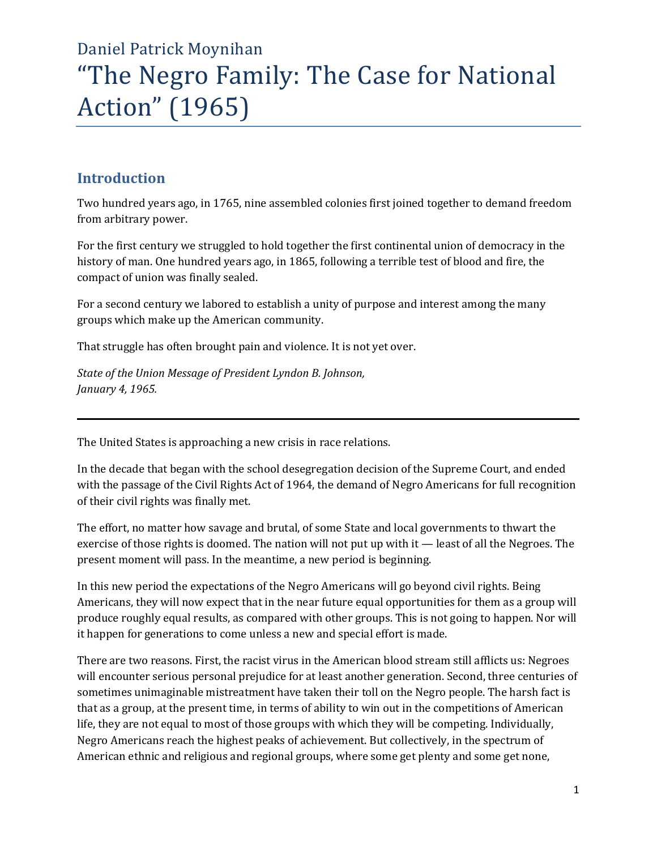# Daniel Patrick Moynihan "The Negro Family: The Case for National Action" (1965)

# **Introduction**

Two hundred years ago, in 1765, nine assembled colonies first joined together to demand freedom from arbitrary power.

For the first century we struggled to hold together the first continental union of democracy in the history of man. One hundred years ago, in 1865, following a terrible test of blood and fire, the compact of union was finally sealed.

For a second century we labored to establish a unity of purpose and interest among the many groups which make up the American community.

That struggle has often brought pain and violence. It is not yet over.

*State of the Union Message of President Lyndon B. Johnson, January 4, 1965.*

The United States is approaching a new crisis in race relations.

In the decade that began with the school desegregation decision of the Supreme Court, and ended with the passage of the Civil Rights Act of 1964, the demand of Negro Americans for full recognition of their civil rights was finally met.

The effort, no matter how savage and brutal, of some State and local governments to thwart the exercise of those rights is doomed. The nation will not put up with it — least of all the Negroes. The present moment will pass. In the meantime, a new period is beginning.

In this new period the expectations of the Negro Americans will go beyond civil rights. Being Americans, they will now expect that in the near future equal opportunities for them as a group will produce roughly equal results, as compared with other groups. This is not going to happen. Nor will it happen for generations to come unless a new and special effort is made.

There are two reasons. First, the racist virus in the American blood stream still afflicts us: Negroes will encounter serious personal prejudice for at least another generation. Second, three centuries of sometimes unimaginable mistreatment have taken their toll on the Negro people. The harsh fact is that as a group, at the present time, in terms of ability to win out in the competitions of American life, they are not equal to most of those groups with which they will be competing. Individually, Negro Americans reach the highest peaks of achievement. But collectively, in the spectrum of American ethnic and religious and regional groups, where some get plenty and some get none,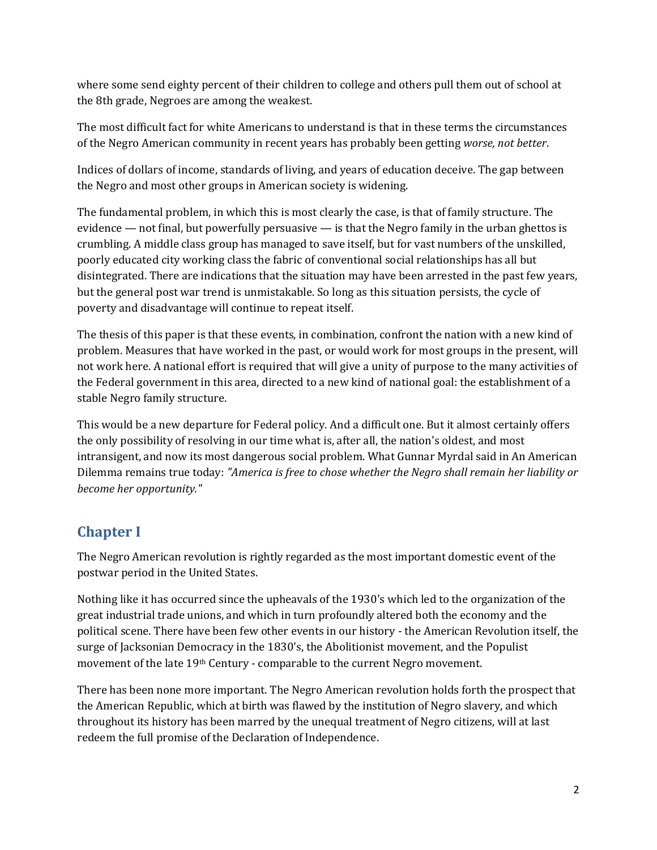where some send eighty percent of their children to college and others pull them out of school at the 8th grade, Negroes are among the weakest.

The most difficult fact for white Americans to understand is that in these terms the circumstances of the Negro American community in recent years has probably been getting *worse, not better*.

Indices of dollars of income, standards of living, and years of education deceive. The gap between the Negro and most other groups in American society is widening.

The fundamental problem, in which this is most clearly the case, is that of family structure. The evidence — not final, but powerfully persuasive — is that the Negro family in the urban ghettos is crumbling. A middle class group has managed to save itself, but for vast numbers of the unskilled, poorly educated city working class the fabric of conventional social relationships has all but disintegrated. There are indications that the situation may have been arrested in the past few years, but the general post war trend is unmistakable. So long as this situation persists, the cycle of poverty and disadvantage will continue to repeat itself.

The thesis of this paper is that these events, in combination, confront the nation with a new kind of problem. Measures that have worked in the past, or would work for most groups in the present, will not work here. A national effort is required that will give a unity of purpose to the many activities of the Federal government in this area, directed to a new kind of national goal: the establishment of a stable Negro family structure.

This would be a new departure for Federal policy. And a difficult one. But it almost certainly offers the only possibility of resolving in our time what is, after all, the nation's oldest, and most intransigent, and now its most dangerous social problem. What Gunnar Myrdal said in An American Dilemma remains true today: *"America is free to chose whether the Negro shall remain her liability or become her opportunity."*

# **Chapter I**

The Negro American revolution is rightly regarded as the most important domestic event of the postwar period in the United States.

Nothing like it has occurred since the upheavals of the 1930's which led to the organization of the great industrial trade unions, and which in turn profoundly altered both the economy and the political scene. There have been few other events in our history - the American Revolution itself, the surge of Jacksonian Democracy in the 1830's, the Abolitionist movement, and the Populist movement of the late 19th Century - comparable to the current Negro movement.

There has been none more important. The Negro American revolution holds forth the prospect that the American Republic, which at birth was flawed by the institution of Negro slavery, and which throughout its history has been marred by the unequal treatment of Negro citizens, will at last redeem the full promise of the Declaration of Independence.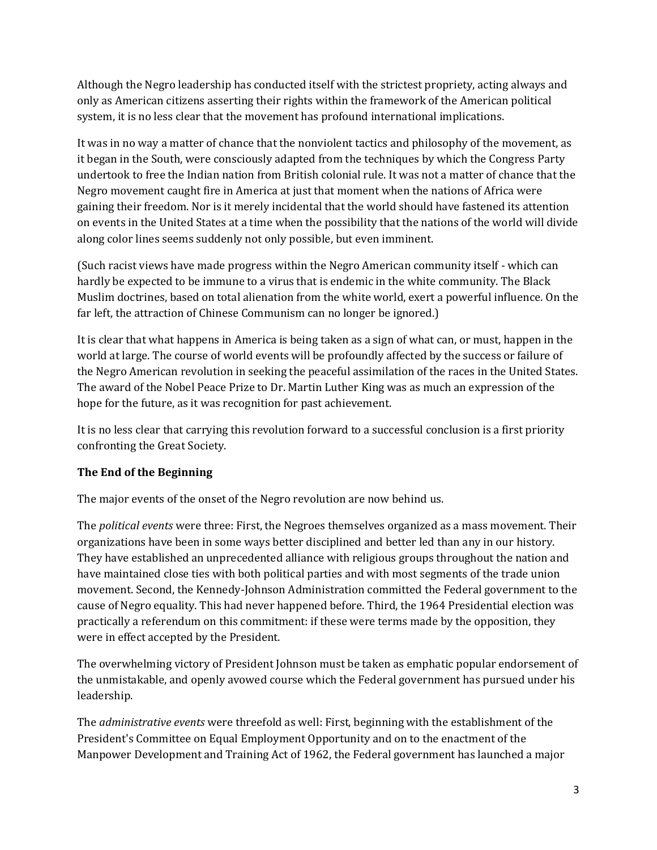Although the Negro leadership has conducted itself with the strictest propriety, acting always and only as American citizens asserting their rights within the framework of the American political system, it is no less clear that the movement has profound international implications.

It was in no way a matter of chance that the nonviolent tactics and philosophy of the movement, as it began in the South, were consciously adapted from the techniques by which the Congress Party undertook to free the Indian nation from British colonial rule. It was not a matter of chance that the Negro movement caught fire in America at just that moment when the nations of Africa were gaining their freedom. Nor is it merely incidental that the world should have fastened its attention on events in the United States at a time when the possibility that the nations of the world will divide along color lines seems suddenly not only possible, but even imminent.

(Such racist views have made progress within the Negro American community itself - which can hardly be expected to be immune to a virus that is endemic in the white community. The Black Muslim doctrines, based on total alienation from the white world, exert a powerful influence. On the far left, the attraction of Chinese Communism can no longer be ignored.)

It is clear that what happens in America is being taken as a sign of what can, or must, happen in the world at large. The course of world events will be profoundly affected by the success or failure of the Negro American revolution in seeking the peaceful assimilation of the races in the United States. The award of the Nobel Peace Prize to Dr. Martin Luther King was as much an expression of the hope for the future, as it was recognition for past achievement.

It is no less clear that carrying this revolution forward to a successful conclusion is a first priority confronting the Great Society.

## **The End of the Beginning**

The major events of the onset of the Negro revolution are now behind us.

The *political events* were three: First, the Negroes themselves organized as a mass movement. Their organizations have been in some ways better disciplined and better led than any in our history. They have established an unprecedented alliance with religious groups throughout the nation and have maintained close ties with both political parties and with most segments of the trade union movement. Second, the Kennedy-Johnson Administration committed the Federal government to the cause of Negro equality. This had never happened before. Third, the 1964 Presidential election was practically a referendum on this commitment: if these were terms made by the opposition, they were in effect accepted by the President.

The overwhelming victory of President Johnson must be taken as emphatic popular endorsement of the unmistakable, and openly avowed course which the Federal government has pursued under his leadership.

The *administrative events* were threefold as well: First, beginning with the establishment of the President's Committee on Equal Employment Opportunity and on to the enactment of the Manpower Development and Training Act of 1962, the Federal government has launched a major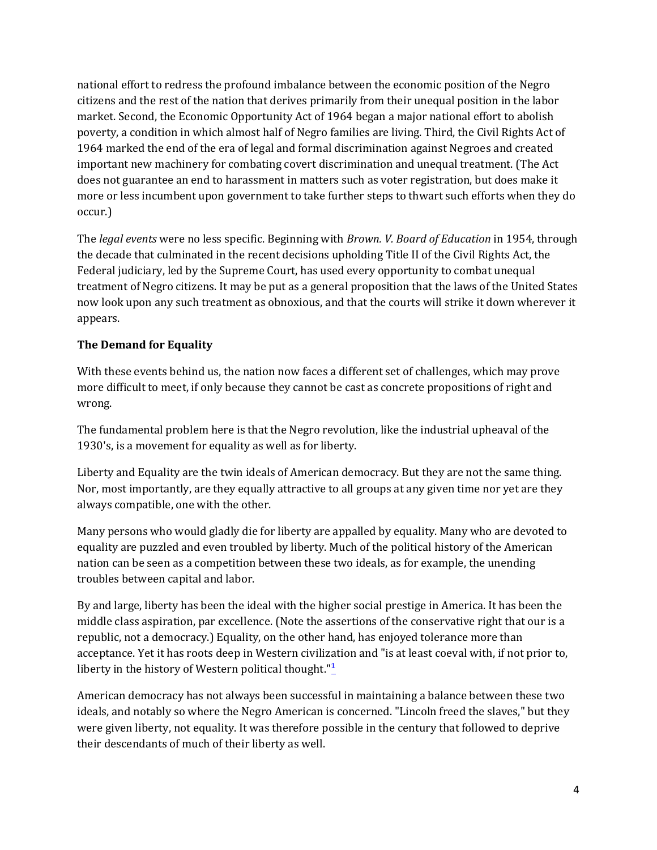national effort to redress the profound imbalance between the economic position of the Negro citizens and the rest of the nation that derives primarily from their unequal position in the labor market. Second, the Economic Opportunity Act of 1964 began a major national effort to abolish poverty, a condition in which almost half of Negro families are living. Third, the Civil Rights Act of 1964 marked the end of the era of legal and formal discrimination against Negroes and created important new machinery for combating covert discrimination and unequal treatment. (The Act does not guarantee an end to harassment in matters such as voter registration, but does make it more or less incumbent upon government to take further steps to thwart such efforts when they do occur.)

The *legal events* were no less specific. Beginning with *Brown. V. Board of Education* in 1954, through the decade that culminated in the recent decisions upholding Title II of the Civil Rights Act, the Federal judiciary, led by the Supreme Court, has used every opportunity to combat unequal treatment of Negro citizens. It may be put as a general proposition that the laws of the United States now look upon any such treatment as obnoxious, and that the courts will strike it down wherever it appears.

#### **The Demand for Equality**

With these events behind us, the nation now faces a different set of challenges, which may prove more difficult to meet, if only because they cannot be cast as concrete propositions of right and wrong.

The fundamental problem here is that the Negro revolution, like the industrial upheaval of the 1930's, is a movement for equality as well as for liberty.

Liberty and Equality are the twin ideals of American democracy. But they are not the same thing. Nor, most importantly, are they equally attractive to all groups at any given time nor yet are they always compatible, one with the other.

Many persons who would gladly die for liberty are appalled by equality. Many who are devoted to equality are puzzled and even troubled by liberty. Much of the political history of the American nation can be seen as a competition between these two ideals, as for example, the unending troubles between capital and labor.

By and large, liberty has been the ideal with the higher social prestige in America. It has been the middle class aspiration, par excellence. (Note the assertions of the conservative right that our is a republic, not a democracy.) Equality, on the other hand, has enjoyed tolerance more than acceptance. Yet it has roots deep in Western civilization and "is at least coeval with, if not prior to, liberty in the history of Western political thought." $\frac{1}{2}$ 

American democracy has not always been successful in maintaining a balance between these two ideals, and notably so where the Negro American is concerned. "Lincoln freed the slaves," but they were given liberty, not equality. It was therefore possible in the century that followed to deprive their descendants of much of their liberty as well.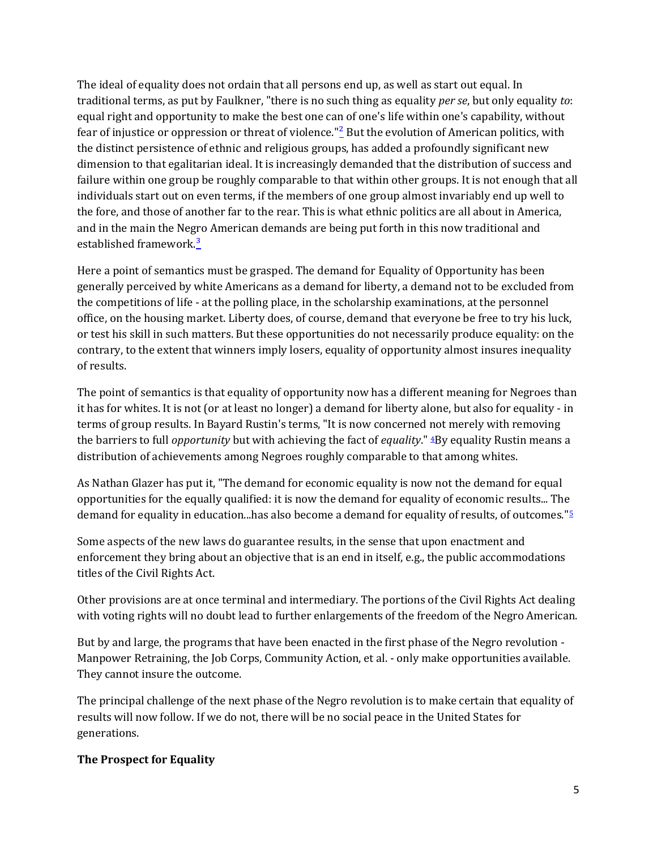The ideal of equality does not ordain that all persons end up, as well as start out equal. In traditional terms, as put by Faulkner, "there is no such thing as equality *per se*, but only equality *to*: equal right and opportunity to make the best one can of one's life within one's capability, without fear of injustice or oppression or threat of violence.["²](http://www.dol.gov/dol/aboutdol/history/moynfootnote.htm#2) But the evolution of American politics, with the distinct persistence of ethnic and religious groups, has added a profoundly significant new dimension to that egalitarian ideal. It is increasingly demanded that the distribution of success and failure within one group be roughly comparable to that within other groups. It is not enough that all individuals start out on even terms, if the members of one group almost invariably end up well to the fore, and those of another far to the rear. This is what ethnic politics are all about in America, and in the main the Negro American demands are being put forth in this now traditional and established framework.<sup>3</sup>

Here a point of semantics must be grasped. The demand for Equality of Opportunity has been generally perceived by white Americans as a demand for liberty, a demand not to be excluded from the competitions of life - at the polling place, in the scholarship examinations, at the personnel office, on the housing market. Liberty does, of course, demand that everyone be free to try his luck, or test his skill in such matters. But these opportunities do not necessarily produce equality: on the contrary, to the extent that winners imply losers, equality of opportunity almost insures inequality of results.

The point of semantics is that equality of opportunity now has a different meaning for Negroes than it has for whites. It is not (or at least no longer) a demand for liberty alone, but also for equality - in terms of group results. In Bayard Rustin's terms, "It is now concerned not merely with removing the barriers to full *opportunity* but with achieving the fact of *equality*." <sup>4</sup>[B](http://www.dol.gov/dol/aboutdol/history/moynfootnote.htm#4)y equality Rustin means a distribution of achievements among Negroes roughly comparable to that among whites.

As Nathan Glazer has put it, "The demand for economic equality is now not the demand for equal opportunities for the equally qualified: it is now the demand for equality of economic results... The demand for equality in education...has also become a demand for equality of results, of outcomes."[5](http://www.dol.gov/dol/aboutdol/history/moynfootnote.htm#5)

Some aspects of the new laws do guarantee results, in the sense that upon enactment and enforcement they bring about an objective that is an end in itself, e.g., the public accommodations titles of the Civil Rights Act.

Other provisions are at once terminal and intermediary. The portions of the Civil Rights Act dealing with voting rights will no doubt lead to further enlargements of the freedom of the Negro American.

But by and large, the programs that have been enacted in the first phase of the Negro revolution - Manpower Retraining, the Job Corps, Community Action, et al. - only make opportunities available. They cannot insure the outcome.

The principal challenge of the next phase of the Negro revolution is to make certain that equality of results will now follow. If we do not, there will be no social peace in the United States for generations.

#### **The Prospect for Equality**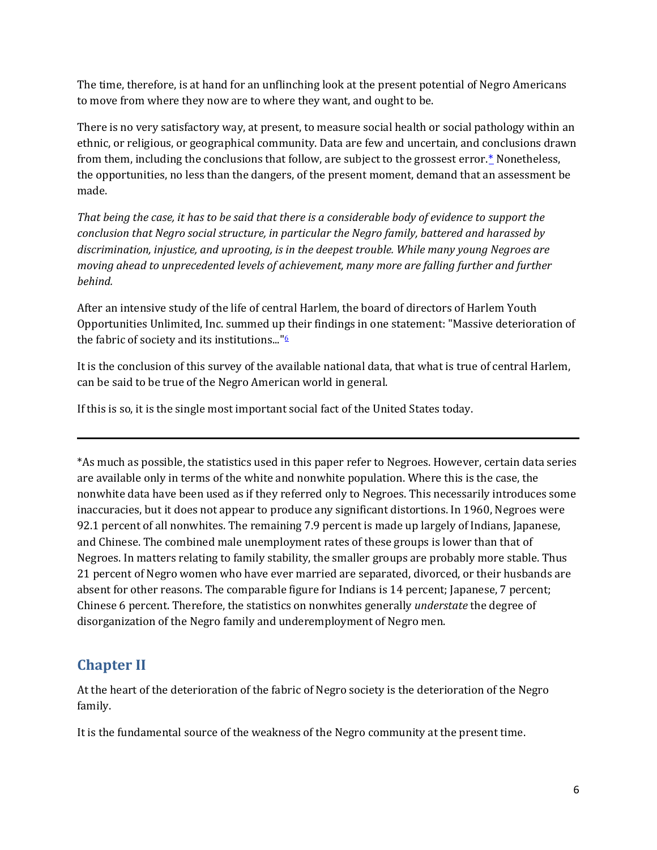The time, therefore, is at hand for an unflinching look at the present potential of Negro Americans to move from where they now are to where they want, and ought to be.

There is no very satisfactory way, at present, to measure social health or social pathology within an ethnic, or religious, or geographical community. Data are few and uncertain, and conclusions drawn from them, including the conclusions that follow, are subject to the grossest error[.\\*](http://www.dol.gov/dol/aboutdol/history/moynchapter1.htm#*) Nonetheless, the opportunities, no less than the dangers, of the present moment, demand that an assessment be made.

*That being the case, it has to be said that there is a considerable body of evidence to support the conclusion that Negro social structure, in particular the Negro family, battered and harassed by discrimination, injustice, and uprooting, is in the deepest trouble. While many young Negroes are moving ahead to unprecedented levels of achievement, many more are falling further and further behind.*

After an intensive study of the life of central Harlem, the board of directors of Harlem Youth Opportunities Unlimited, Inc. summed up their findings in one statement: "Massive deterioration of the fabric of society and its institutions..." $6$ 

It is the conclusion of this survey of the available national data, that what is true of central Harlem, can be said to be true of the Negro American world in general.

If this is so, it is the single most important social fact of the United States today.

\*As much as possible, the statistics used in this paper refer to Negroes. However, certain data series are available only in terms of the white and nonwhite population. Where this is the case, the nonwhite data have been used as if they referred only to Negroes. This necessarily introduces some inaccuracies, but it does not appear to produce any significant distortions. In 1960, Negroes were 92.1 percent of all nonwhites. The remaining 7.9 percent is made up largely of Indians, Japanese, and Chinese. The combined male unemployment rates of these groups is lower than that of Negroes. In matters relating to family stability, the smaller groups are probably more stable. Thus 21 percent of Negro women who have ever married are separated, divorced, or their husbands are absent for other reasons. The comparable figure for Indians is 14 percent; Japanese, 7 percent; Chinese 6 percent. Therefore, the statistics on nonwhites generally *understate* the degree of disorganization of the Negro family and underemployment of Negro men.

## **Chapter II**

At the heart of the deterioration of the fabric of Negro society is the deterioration of the Negro family.

It is the fundamental source of the weakness of the Negro community at the present time.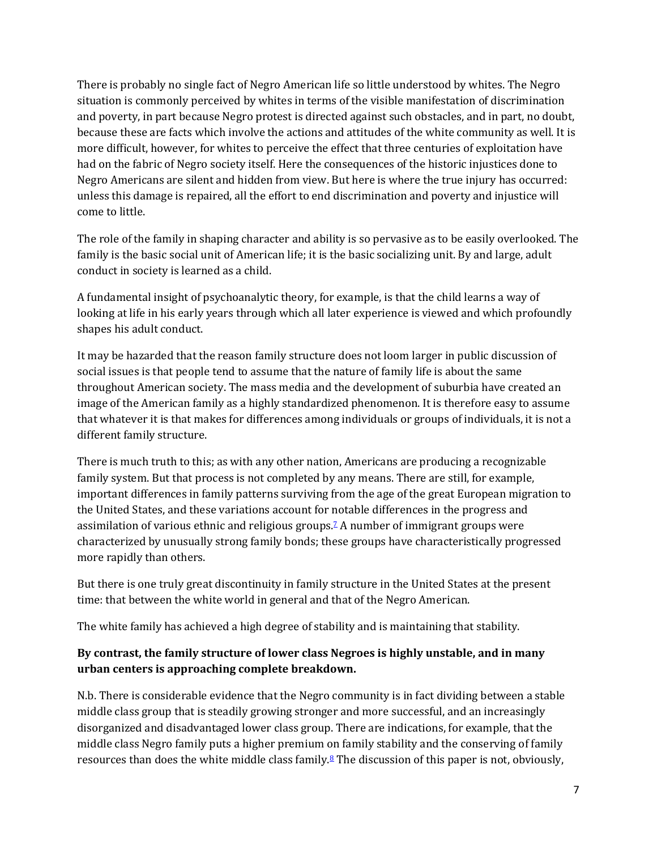There is probably no single fact of Negro American life so little understood by whites. The Negro situation is commonly perceived by whites in terms of the visible manifestation of discrimination and poverty, in part because Negro protest is directed against such obstacles, and in part, no doubt, because these are facts which involve the actions and attitudes of the white community as well. It is more difficult, however, for whites to perceive the effect that three centuries of exploitation have had on the fabric of Negro society itself. Here the consequences of the historic injustices done to Negro Americans are silent and hidden from view. But here is where the true injury has occurred: unless this damage is repaired, all the effort to end discrimination and poverty and injustice will come to little.

The role of the family in shaping character and ability is so pervasive as to be easily overlooked. The family is the basic social unit of American life; it is the basic socializing unit. By and large, adult conduct in society is learned as a child.

A fundamental insight of psychoanalytic theory, for example, is that the child learns a way of looking at life in his early years through which all later experience is viewed and which profoundly shapes his adult conduct.

It may be hazarded that the reason family structure does not loom larger in public discussion of social issues is that people tend to assume that the nature of family life is about the same throughout American society. The mass media and the development of suburbia have created an image of the American family as a highly standardized phenomenon. It is therefore easy to assume that whatever it is that makes for differences among individuals or groups of individuals, it is not a different family structure.

There is much truth to this; as with any other nation, Americans are producing a recognizable family system. But that process is not completed by any means. There are still, for example, important differences in family patterns surviving from the age of the great European migration to the United States, and these variations account for notable differences in the progress and assimilation of various ethnic and religious groups.[7](http://www.dol.gov/dol/aboutdol/history/moynfootnote.htm#7) A number of immigrant groups were characterized by unusually strong family bonds; these groups have characteristically progressed more rapidly than others.

But there is one truly great discontinuity in family structure in the United States at the present time: that between the white world in general and that of the Negro American.

The white family has achieved a high degree of stability and is maintaining that stability.

### **By contrast, the family structure of lower class Negroes is highly unstable, and in many urban centers is approaching complete breakdown.**

N.b. There is considerable evidence that the Negro community is in fact dividing between a stable middle class group that is steadily growing stronger and more successful, and an increasingly disorganized and disadvantaged lower class group. There are indications, for example, that the middle class Negro family puts a higher premium on family stability and the conserving of family resources than does the white middle class family.<sup>[8](http://www.dol.gov/dol/aboutdol/history/moynfootnote.htm#8)</sup> The discussion of this paper is not, obviously,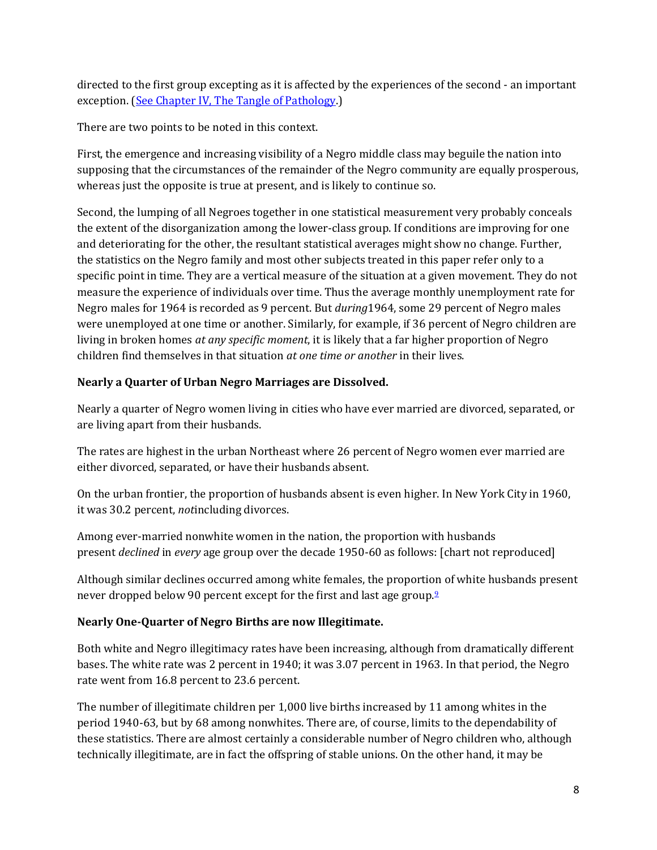directed to the first group excepting as it is affected by the experiences of the second - an important exception. [\(See Chapter IV, The Tangle of Pathology.](http://www.dol.gov/dol/aboutdol/history/moynchapter4.htm))

There are two points to be noted in this context.

First, the emergence and increasing visibility of a Negro middle class may beguile the nation into supposing that the circumstances of the remainder of the Negro community are equally prosperous, whereas just the opposite is true at present, and is likely to continue so.

Second, the lumping of all Negroes together in one statistical measurement very probably conceals the extent of the disorganization among the lower-class group. If conditions are improving for one and deteriorating for the other, the resultant statistical averages might show no change. Further, the statistics on the Negro family and most other subjects treated in this paper refer only to a specific point in time. They are a vertical measure of the situation at a given movement. They do not measure the experience of individuals over time. Thus the average monthly unemployment rate for Negro males for 1964 is recorded as 9 percent. But *during*1964, some 29 percent of Negro males were unemployed at one time or another. Similarly, for example, if 36 percent of Negro children are living in broken homes *at any specific moment*, it is likely that a far higher proportion of Negro children find themselves in that situation *at one time or another* in their lives.

### **Nearly a Quarter of Urban Negro Marriages are Dissolved.**

Nearly a quarter of Negro women living in cities who have ever married are divorced, separated, or are living apart from their husbands.

The rates are highest in the urban Northeast where 26 percent of Negro women ever married are either divorced, separated, or have their husbands absent.

On the urban frontier, the proportion of husbands absent is even higher. In New York City in 1960, it was 30.2 percent, *not*including divorces.

Among ever-married nonwhite women in the nation, the proportion with husbands present *declined* in *every* age group over the decade 1950-60 as follows: [chart not reproduced]

Although similar declines occurred among white females, the proportion of white husbands present never dropped below 90 percent except for the first and last age group.[9](http://www.dol.gov/dol/aboutdol/history/moynfootnote.htm#9)

#### **Nearly One-Quarter of Negro Births are now Illegitimate.**

Both white and Negro illegitimacy rates have been increasing, although from dramatically different bases. The white rate was 2 percent in 1940; it was 3.07 percent in 1963. In that period, the Negro rate went from 16.8 percent to 23.6 percent.

The number of illegitimate children per 1,000 live births increased by 11 among whites in the period 1940-63, but by 68 among nonwhites. There are, of course, limits to the dependability of these statistics. There are almost certainly a considerable number of Negro children who, although technically illegitimate, are in fact the offspring of stable unions. On the other hand, it may be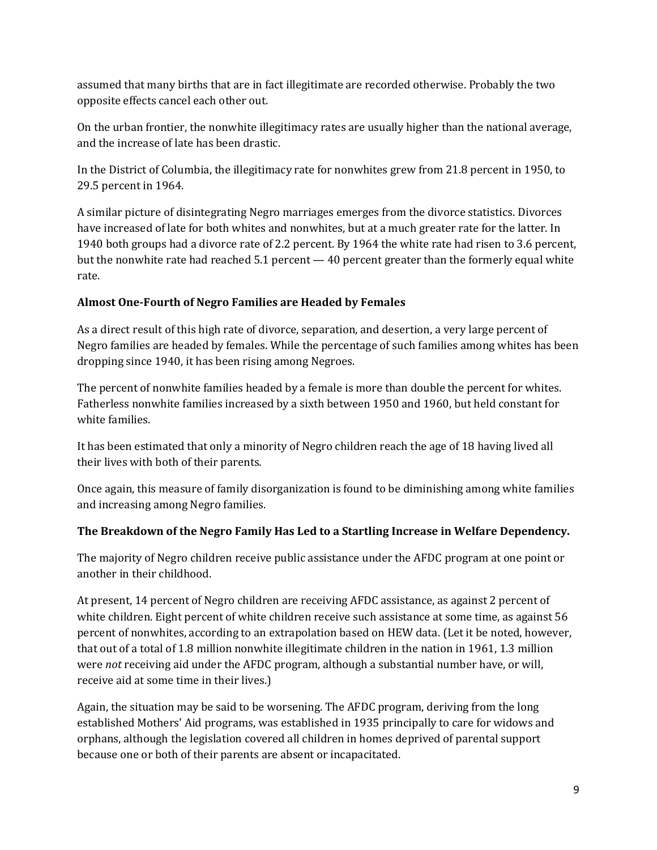assumed that many births that are in fact illegitimate are recorded otherwise. Probably the two opposite effects cancel each other out.

On the urban frontier, the nonwhite illegitimacy rates are usually higher than the national average, and the increase of late has been drastic.

In the District of Columbia, the illegitimacy rate for nonwhites grew from 21.8 percent in 1950, to 29.5 percent in 1964.

A similar picture of disintegrating Negro marriages emerges from the divorce statistics. Divorces have increased of late for both whites and nonwhites, but at a much greater rate for the latter. In 1940 both groups had a divorce rate of 2.2 percent. By 1964 the white rate had risen to 3.6 percent, but the nonwhite rate had reached  $5.1$  percent  $-40$  percent greater than the formerly equal white rate.

#### **Almost One-Fourth of Negro Families are Headed by Females**

As a direct result of this high rate of divorce, separation, and desertion, a very large percent of Negro families are headed by females. While the percentage of such families among whites has been dropping since 1940, it has been rising among Negroes.

The percent of nonwhite families headed by a female is more than double the percent for whites. Fatherless nonwhite families increased by a sixth between 1950 and 1960, but held constant for white families.

It has been estimated that only a minority of Negro children reach the age of 18 having lived all their lives with both of their parents.

Once again, this measure of family disorganization is found to be diminishing among white families and increasing among Negro families.

## **The Breakdown of the Negro Family Has Led to a Startling Increase in Welfare Dependency.**

The majority of Negro children receive public assistance under the AFDC program at one point or another in their childhood.

At present, 14 percent of Negro children are receiving AFDC assistance, as against 2 percent of white children. Eight percent of white children receive such assistance at some time, as against 56 percent of nonwhites, according to an extrapolation based on HEW data. (Let it be noted, however, that out of a total of 1.8 million nonwhite illegitimate children in the nation in 1961, 1.3 million were *not* receiving aid under the AFDC program, although a substantial number have, or will, receive aid at some time in their lives.)

Again, the situation may be said to be worsening. The AFDC program, deriving from the long established Mothers' Aid programs, was established in 1935 principally to care for widows and orphans, although the legislation covered all children in homes deprived of parental support because one or both of their parents are absent or incapacitated.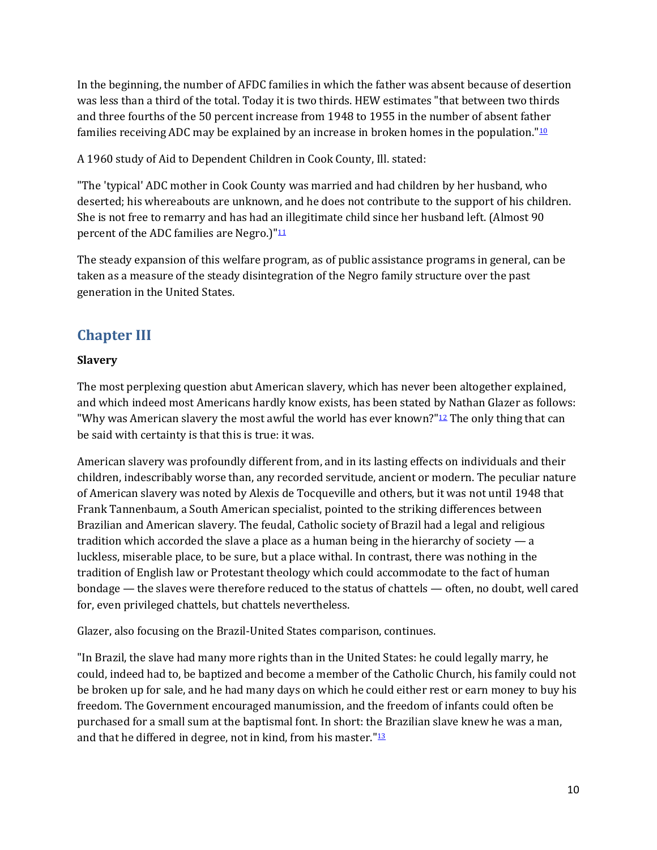In the beginning, the number of AFDC families in which the father was absent because of desertion was less than a third of the total. Today it is two thirds. HEW estimates "that between two thirds and three fourths of the 50 percent increase from 1948 to 1955 in the number of absent father families receiving ADC may be explained by an increase in broken homes in the population."[10](http://www.dol.gov/dol/aboutdol/history/moynfootnote.htm#10)

A 1960 study of Aid to Dependent Children in Cook County, Ill. stated:

"The 'typical' ADC mother in Cook County was married and had children by her husband, who deserted; his whereabouts are unknown, and he does not contribute to the support of his children. She is not free to remarry and has had an illegitimate child since her husband left. (Almost 90 percent of the ADC families are Negro.) $^{\prime\prime}$ [11](http://www.dol.gov/dol/aboutdol/history/moynfootnote.htm#11)

The steady expansion of this welfare program, as of public assistance programs in general, can be taken as a measure of the steady disintegration of the Negro family structure over the past generation in the United States.

# **Chapter III**

#### **Slavery**

The most perplexing question abut American slavery, which has never been altogether explained, and which indeed most Americans hardly know exists, has been stated by Nathan Glazer as follows: "Why was American slavery the most awful the world has ever known?"<sup>[12](http://www.dol.gov/dol/aboutdol/history/moynfootnote.htm#12)</sup> The only thing that can be said with certainty is that this is true: it was.

American slavery was profoundly different from, and in its lasting effects on individuals and their children, indescribably worse than, any recorded servitude, ancient or modern. The peculiar nature of American slavery was noted by Alexis de Tocqueville and others, but it was not until 1948 that Frank Tannenbaum, a South American specialist, pointed to the striking differences between Brazilian and American slavery. The feudal, Catholic society of Brazil had a legal and religious tradition which accorded the slave a place as a human being in the hierarchy of society — a luckless, miserable place, to be sure, but a place withal. In contrast, there was nothing in the tradition of English law or Protestant theology which could accommodate to the fact of human bondage — the slaves were therefore reduced to the status of chattels — often, no doubt, well cared for, even privileged chattels, but chattels nevertheless.

Glazer, also focusing on the Brazil-United States comparison, continues.

"In Brazil, the slave had many more rights than in the United States: he could legally marry, he could, indeed had to, be baptized and become a member of the Catholic Church, his family could not be broken up for sale, and he had many days on which he could either rest or earn money to buy his freedom. The Government encouraged manumission, and the freedom of infants could often be purchased for a small sum at the baptismal font. In short: the Brazilian slave knew he was a man, and that he differed in degree, not in kind, from his master."<sup>[13](http://www.dol.gov/dol/aboutdol/history/moynfootnote.htm#13)</sup>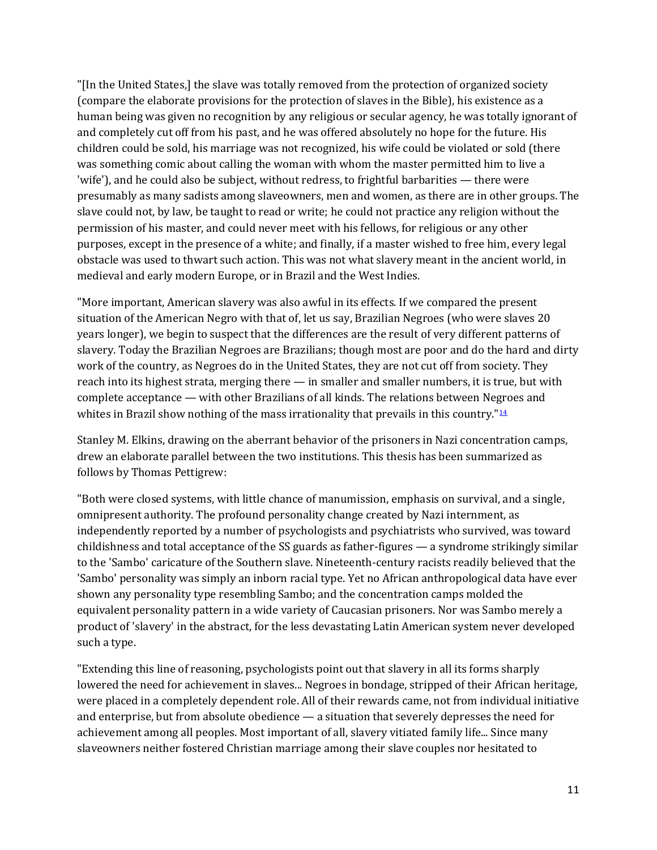"[In the United States,] the slave was totally removed from the protection of organized society (compare the elaborate provisions for the protection of slaves in the Bible), his existence as a human being was given no recognition by any religious or secular agency, he was totally ignorant of and completely cut off from his past, and he was offered absolutely no hope for the future. His children could be sold, his marriage was not recognized, his wife could be violated or sold (there was something comic about calling the woman with whom the master permitted him to live a 'wife'), and he could also be subject, without redress, to frightful barbarities — there were presumably as many sadists among slaveowners, men and women, as there are in other groups. The slave could not, by law, be taught to read or write; he could not practice any religion without the permission of his master, and could never meet with his fellows, for religious or any other purposes, except in the presence of a white; and finally, if a master wished to free him, every legal obstacle was used to thwart such action. This was not what slavery meant in the ancient world, in medieval and early modern Europe, or in Brazil and the West Indies.

"More important, American slavery was also awful in its effects. If we compared the present situation of the American Negro with that of, let us say, Brazilian Negroes (who were slaves 20 years longer), we begin to suspect that the differences are the result of very different patterns of slavery. Today the Brazilian Negroes are Brazilians; though most are poor and do the hard and dirty work of the country, as Negroes do in the United States, they are not cut off from society. They reach into its highest strata, merging there — in smaller and smaller numbers, it is true, but with complete acceptance — with other Brazilians of all kinds. The relations between Negroes and whites in Brazil show nothing of the mass irrationality that prevails in this country." $\frac{14}{1}$  $\frac{14}{1}$  $\frac{14}{1}$ 

Stanley M. Elkins, drawing on the aberrant behavior of the prisoners in Nazi concentration camps, drew an elaborate parallel between the two institutions. This thesis has been summarized as follows by Thomas Pettigrew:

"Both were closed systems, with little chance of manumission, emphasis on survival, and a single, omnipresent authority. The profound personality change created by Nazi internment, as independently reported by a number of psychologists and psychiatrists who survived, was toward childishness and total acceptance of the SS guards as father-figures — a syndrome strikingly similar to the 'Sambo' caricature of the Southern slave. Nineteenth-century racists readily believed that the 'Sambo' personality was simply an inborn racial type. Yet no African anthropological data have ever shown any personality type resembling Sambo; and the concentration camps molded the equivalent personality pattern in a wide variety of Caucasian prisoners. Nor was Sambo merely a product of 'slavery' in the abstract, for the less devastating Latin American system never developed such a type.

"Extending this line of reasoning, psychologists point out that slavery in all its forms sharply lowered the need for achievement in slaves... Negroes in bondage, stripped of their African heritage, were placed in a completely dependent role. All of their rewards came, not from individual initiative and enterprise, but from absolute obedience — a situation that severely depresses the need for achievement among all peoples. Most important of all, slavery vitiated family life... Since many slaveowners neither fostered Christian marriage among their slave couples nor hesitated to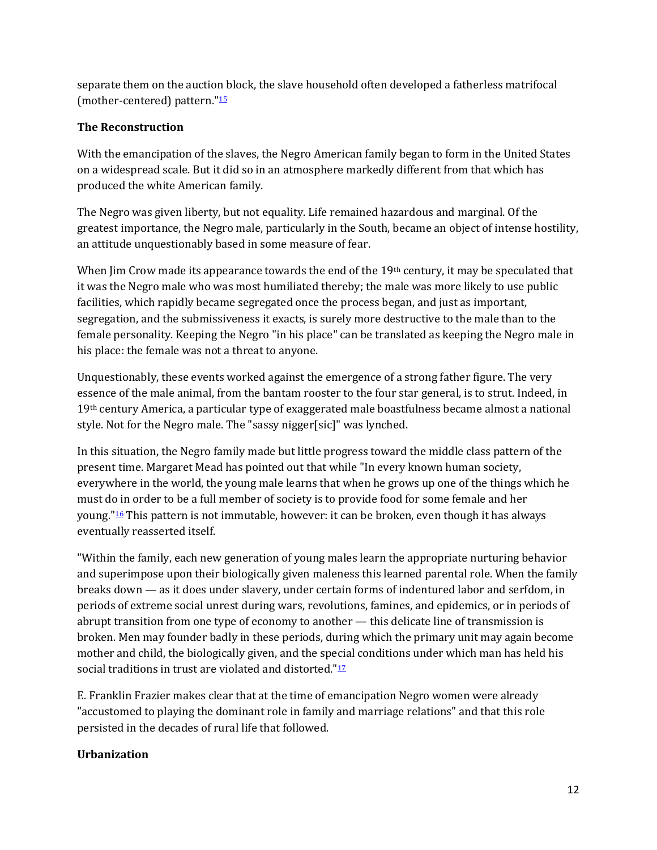separate them on the auction block, the slave household often developed a fatherless matrifocal (mother-centered) pattern."[15](http://www.dol.gov/dol/aboutdol/history/moynfootnote.htm#15)

### **The Reconstruction**

With the emancipation of the slaves, the Negro American family began to form in the United States on a widespread scale. But it did so in an atmosphere markedly different from that which has produced the white American family.

The Negro was given liberty, but not equality. Life remained hazardous and marginal. Of the greatest importance, the Negro male, particularly in the South, became an object of intense hostility, an attitude unquestionably based in some measure of fear.

When Jim Crow made its appearance towards the end of the  $19<sup>th</sup>$  century, it may be speculated that it was the Negro male who was most humiliated thereby; the male was more likely to use public facilities, which rapidly became segregated once the process began, and just as important, segregation, and the submissiveness it exacts, is surely more destructive to the male than to the female personality. Keeping the Negro "in his place" can be translated as keeping the Negro male in his place: the female was not a threat to anyone.

Unquestionably, these events worked against the emergence of a strong father figure. The very essence of the male animal, from the bantam rooster to the four star general, is to strut. Indeed, in 19th century America, a particular type of exaggerated male boastfulness became almost a national style. Not for the Negro male. The "sassy nigger[sic]" was lynched.

In this situation, the Negro family made but little progress toward the middle class pattern of the present time. Margaret Mead has pointed out that while "In every known human society, everywhere in the world, the young male learns that when he grows up one of the things which he must do in order to be a full member of society is to provide food for some female and her young." $16$  This pattern is not immutable, however: it can be broken, even though it has always eventually reasserted itself.

"Within the family, each new generation of young males learn the appropriate nurturing behavior and superimpose upon their biologically given maleness this learned parental role. When the family breaks down — as it does under slavery, under certain forms of indentured labor and serfdom, in periods of extreme social unrest during wars, revolutions, famines, and epidemics, or in periods of abrupt transition from one type of economy to another — this delicate line of transmission is broken. Men may founder badly in these periods, during which the primary unit may again become mother and child, the biologically given, and the special conditions under which man has held his social traditions in trust are violated and distorted."<sup>[17](http://www.dol.gov/dol/aboutdol/history/moynfootnote.htm#17)</sup>

E. Franklin Frazier makes clear that at the time of emancipation Negro women were already "accustomed to playing the dominant role in family and marriage relations" and that this role persisted in the decades of rural life that followed.

#### **Urbanization**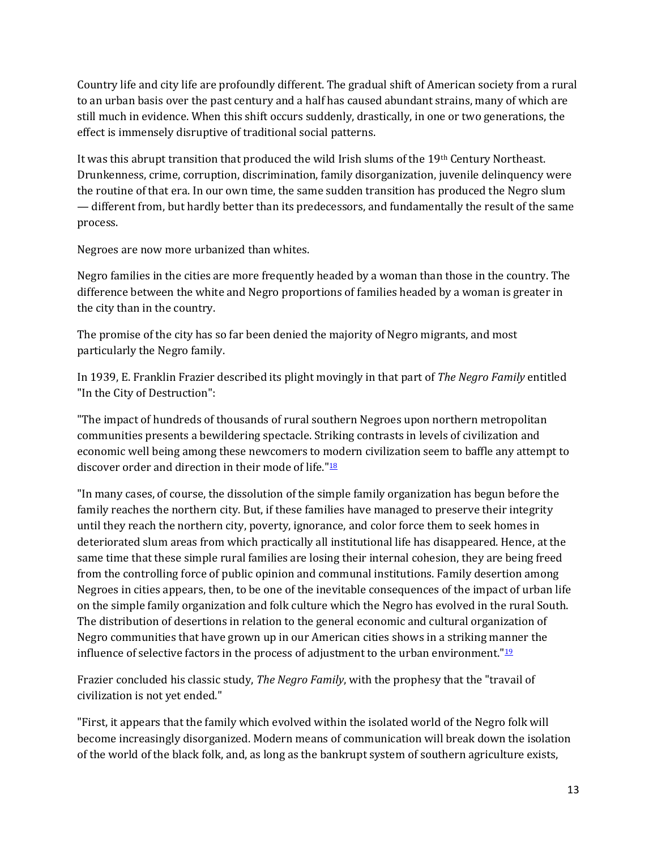Country life and city life are profoundly different. The gradual shift of American society from a rural to an urban basis over the past century and a half has caused abundant strains, many of which are still much in evidence. When this shift occurs suddenly, drastically, in one or two generations, the effect is immensely disruptive of traditional social patterns.

It was this abrupt transition that produced the wild Irish slums of the 19th Century Northeast. Drunkenness, crime, corruption, discrimination, family disorganization, juvenile delinquency were the routine of that era. In our own time, the same sudden transition has produced the Negro slum — different from, but hardly better than its predecessors, and fundamentally the result of the same process.

Negroes are now more urbanized than whites.

Negro families in the cities are more frequently headed by a woman than those in the country. The difference between the white and Negro proportions of families headed by a woman is greater in the city than in the country.

The promise of the city has so far been denied the majority of Negro migrants, and most particularly the Negro family.

In 1939, E. Franklin Frazier described its plight movingly in that part of *The Negro Family* entitled "In the City of Destruction":

"The impact of hundreds of thousands of rural southern Negroes upon northern metropolitan communities presents a bewildering spectacle. Striking contrasts in levels of civilization and economic well being among these newcomers to modern civilization seem to baffle any attempt to discover order and direction in their mode of life."<sup>[18](http://www.dol.gov/dol/aboutdol/history/moynfootnote.htm#18)</sup>

"In many cases, of course, the dissolution of the simple family organization has begun before the family reaches the northern city. But, if these families have managed to preserve their integrity until they reach the northern city, poverty, ignorance, and color force them to seek homes in deteriorated slum areas from which practically all institutional life has disappeared. Hence, at the same time that these simple rural families are losing their internal cohesion, they are being freed from the controlling force of public opinion and communal institutions. Family desertion among Negroes in cities appears, then, to be one of the inevitable consequences of the impact of urban life on the simple family organization and folk culture which the Negro has evolved in the rural South. The distribution of desertions in relation to the general economic and cultural organization of Negro communities that have grown up in our American cities shows in a striking manner the influence of selective factors in the process of adjustment to the urban environment." $\frac{19}{2}$  $\frac{19}{2}$  $\frac{19}{2}$ 

Frazier concluded his classic study, *The Negro Family*, with the prophesy that the "travail of civilization is not yet ended."

"First, it appears that the family which evolved within the isolated world of the Negro folk will become increasingly disorganized. Modern means of communication will break down the isolation of the world of the black folk, and, as long as the bankrupt system of southern agriculture exists,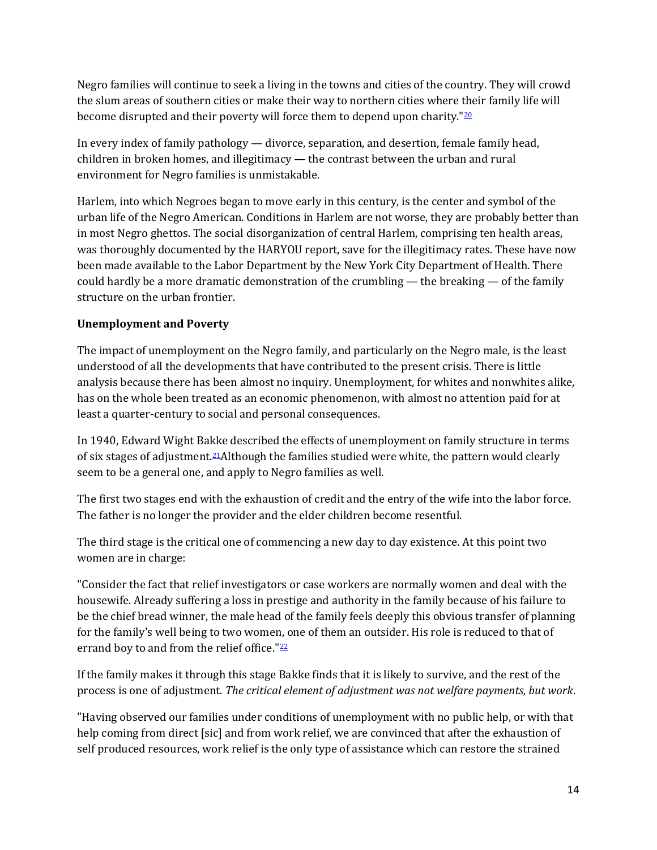Negro families will continue to seek a living in the towns and cities of the country. They will crowd the slum areas of southern cities or make their way to northern cities where their family life will become disrupted and their poverty will force them to depend upon charity."<sup>[20](http://www.dol.gov/dol/aboutdol/history/moynfootnote.htm#20)</sup>

In every index of family pathology — divorce, separation, and desertion, female family head, children in broken homes, and illegitimacy — the contrast between the urban and rural environment for Negro families is unmistakable.

Harlem, into which Negroes began to move early in this century, is the center and symbol of the urban life of the Negro American. Conditions in Harlem are not worse, they are probably better than in most Negro ghettos. The social disorganization of central Harlem, comprising ten health areas, was thoroughly documented by the HARYOU report, save for the illegitimacy rates. These have now been made available to the Labor Department by the New York City Department of Health. There could hardly be a more dramatic demonstration of the crumbling — the breaking — of the family structure on the urban frontier.

#### **Unemployment and Poverty**

The impact of unemployment on the Negro family, and particularly on the Negro male, is the least understood of all the developments that have contributed to the present crisis. There is little analysis because there has been almost no inquiry. Unemployment, for whites and nonwhites alike, has on the whole been treated as an economic phenomenon, with almost no attention paid for at least a quarter-century to social and personal consequences.

In 1940, Edward Wight Bakke described the effects of unemployment on family structure in terms of six stages of adjustment.[21](http://www.dol.gov/dol/aboutdol/history/moynfootnote.htm#21)Although the families studied were white, the pattern would clearly seem to be a general one, and apply to Negro families as well.

The first two stages end with the exhaustion of credit and the entry of the wife into the labor force. The father is no longer the provider and the elder children become resentful.

The third stage is the critical one of commencing a new day to day existence. At this point two women are in charge:

"Consider the fact that relief investigators or case workers are normally women and deal with the housewife. Already suffering a loss in prestige and authority in the family because of his failure to be the chief bread winner, the male head of the family feels deeply this obvious transfer of planning for the family's well being to two women, one of them an outsider. His role is reduced to that of errand boy to and from the relief office."<sup>[22](http://www.dol.gov/dol/aboutdol/history/moynfootnote.htm#22)</sup>

If the family makes it through this stage Bakke finds that it is likely to survive, and the rest of the process is one of adjustment. *The critical element of adjustment was not welfare payments, but work*.

"Having observed our families under conditions of unemployment with no public help, or with that help coming from direct [sic] and from work relief, we are convinced that after the exhaustion of self produced resources, work relief is the only type of assistance which can restore the strained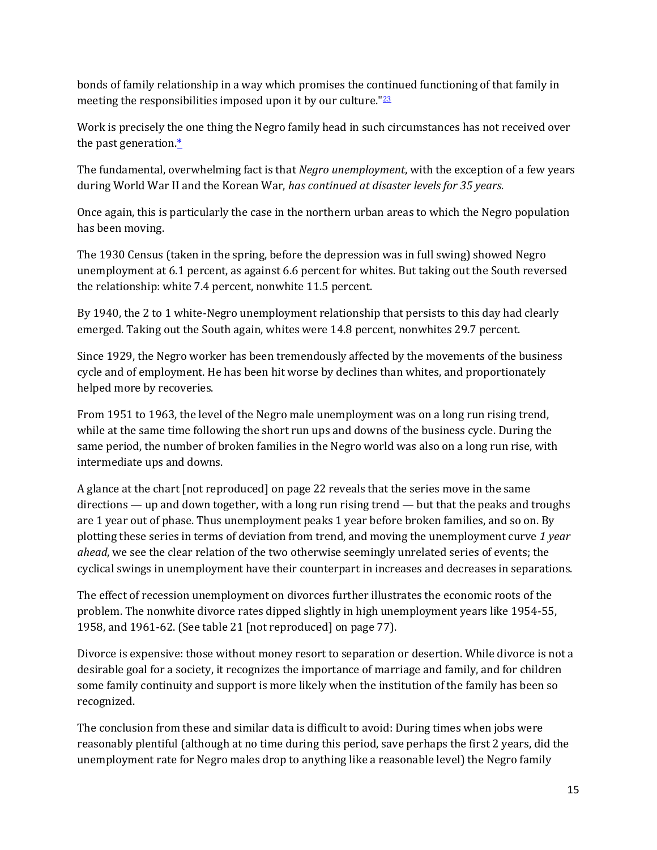bonds of family relationship in a way which promises the continued functioning of that family in meeting the responsibilities imposed upon it by our culture."<sup>[23](http://www.dol.gov/dol/aboutdol/history/moynfootnote.htm#23)</sup>

Work is precisely the one thing the Negro family head in such circumstances has not received over the past generation. $*$ 

The fundamental, overwhelming fact is that *Negro unemployment*, with the exception of a few years during World War II and the Korean War, *has continued at disaster levels for 35 years*.

Once again, this is particularly the case in the northern urban areas to which the Negro population has been moving.

The 1930 Census (taken in the spring, before the depression was in full swing) showed Negro unemployment at 6.1 percent, as against 6.6 percent for whites. But taking out the South reversed the relationship: white 7.4 percent, nonwhite 11.5 percent.

By 1940, the 2 to 1 white-Negro unemployment relationship that persists to this day had clearly emerged. Taking out the South again, whites were 14.8 percent, nonwhites 29.7 percent.

Since 1929, the Negro worker has been tremendously affected by the movements of the business cycle and of employment. He has been hit worse by declines than whites, and proportionately helped more by recoveries.

From 1951 to 1963, the level of the Negro male unemployment was on a long run rising trend, while at the same time following the short run ups and downs of the business cycle. During the same period, the number of broken families in the Negro world was also on a long run rise, with intermediate ups and downs.

A glance at the chart [not reproduced] on page 22 reveals that the series move in the same directions — up and down together, with a long run rising trend — but that the peaks and troughs are 1 year out of phase. Thus unemployment peaks 1 year before broken families, and so on. By plotting these series in terms of deviation from trend, and moving the unemployment curve *1 year ahead*, we see the clear relation of the two otherwise seemingly unrelated series of events; the cyclical swings in unemployment have their counterpart in increases and decreases in separations.

The effect of recession unemployment on divorces further illustrates the economic roots of the problem. The nonwhite divorce rates dipped slightly in high unemployment years like 1954-55, 1958, and 1961-62. (See table 21 [not reproduced] on page 77).

Divorce is expensive: those without money resort to separation or desertion. While divorce is not a desirable goal for a society, it recognizes the importance of marriage and family, and for children some family continuity and support is more likely when the institution of the family has been so recognized.

The conclusion from these and similar data is difficult to avoid: During times when jobs were reasonably plentiful (although at no time during this period, save perhaps the first 2 years, did the unemployment rate for Negro males drop to anything like a reasonable level) the Negro family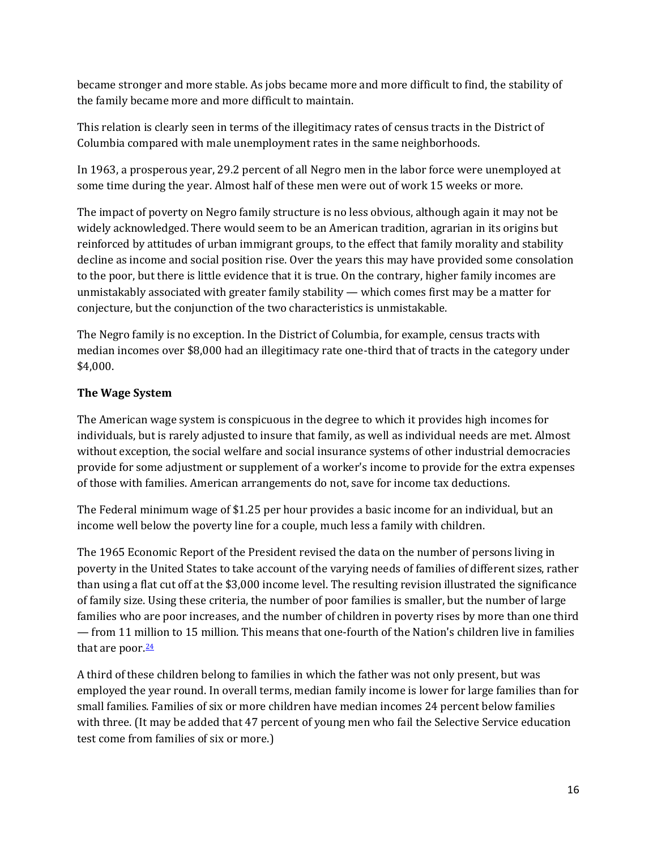became stronger and more stable. As jobs became more and more difficult to find, the stability of the family became more and more difficult to maintain.

This relation is clearly seen in terms of the illegitimacy rates of census tracts in the District of Columbia compared with male unemployment rates in the same neighborhoods.

In 1963, a prosperous year, 29.2 percent of all Negro men in the labor force were unemployed at some time during the year. Almost half of these men were out of work 15 weeks or more.

The impact of poverty on Negro family structure is no less obvious, although again it may not be widely acknowledged. There would seem to be an American tradition, agrarian in its origins but reinforced by attitudes of urban immigrant groups, to the effect that family morality and stability decline as income and social position rise. Over the years this may have provided some consolation to the poor, but there is little evidence that it is true. On the contrary, higher family incomes are unmistakably associated with greater family stability — which comes first may be a matter for conjecture, but the conjunction of the two characteristics is unmistakable.

The Negro family is no exception. In the District of Columbia, for example, census tracts with median incomes over \$8,000 had an illegitimacy rate one-third that of tracts in the category under \$4,000.

## **The Wage System**

The American wage system is conspicuous in the degree to which it provides high incomes for individuals, but is rarely adjusted to insure that family, as well as individual needs are met. Almost without exception, the social welfare and social insurance systems of other industrial democracies provide for some adjustment or supplement of a worker's income to provide for the extra expenses of those with families. American arrangements do not, save for income tax deductions.

The Federal minimum wage of \$1.25 per hour provides a basic income for an individual, but an income well below the poverty line for a couple, much less a family with children.

The 1965 Economic Report of the President revised the data on the number of persons living in poverty in the United States to take account of the varying needs of families of different sizes, rather than using a flat cut off at the \$3,000 income level. The resulting revision illustrated the significance of family size. Using these criteria, the number of poor families is smaller, but the number of large families who are poor increases, and the number of children in poverty rises by more than one third — from 11 million to 15 million. This means that one-fourth of the Nation's children live in families that are poor. $\frac{24}{3}$  $\frac{24}{3}$  $\frac{24}{3}$ 

A third of these children belong to families in which the father was not only present, but was employed the year round. In overall terms, median family income is lower for large families than for small families. Families of six or more children have median incomes 24 percent below families with three. (It may be added that 47 percent of young men who fail the Selective Service education test come from families of six or more.)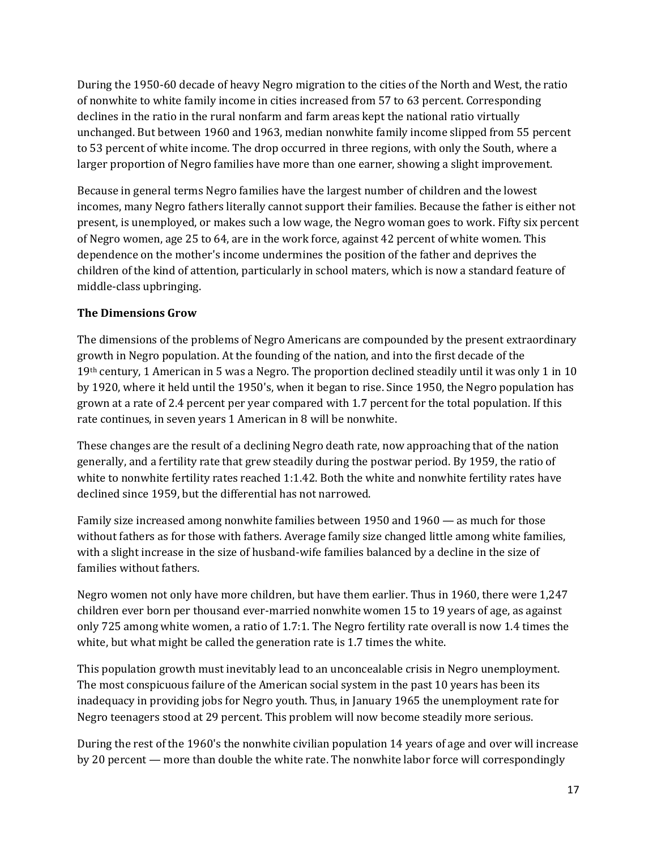During the 1950-60 decade of heavy Negro migration to the cities of the North and West, the ratio of nonwhite to white family income in cities increased from 57 to 63 percent. Corresponding declines in the ratio in the rural nonfarm and farm areas kept the national ratio virtually unchanged. But between 1960 and 1963, median nonwhite family income slipped from 55 percent to 53 percent of white income. The drop occurred in three regions, with only the South, where a larger proportion of Negro families have more than one earner, showing a slight improvement.

Because in general terms Negro families have the largest number of children and the lowest incomes, many Negro fathers literally cannot support their families. Because the father is either not present, is unemployed, or makes such a low wage, the Negro woman goes to work. Fifty six percent of Negro women, age 25 to 64, are in the work force, against 42 percent of white women. This dependence on the mother's income undermines the position of the father and deprives the children of the kind of attention, particularly in school maters, which is now a standard feature of middle-class upbringing.

### **The Dimensions Grow**

The dimensions of the problems of Negro Americans are compounded by the present extraordinary growth in Negro population. At the founding of the nation, and into the first decade of the 19th century, 1 American in 5 was a Negro. The proportion declined steadily until it was only 1 in 10 by 1920, where it held until the 1950's, when it began to rise. Since 1950, the Negro population has grown at a rate of 2.4 percent per year compared with 1.7 percent for the total population. If this rate continues, in seven years 1 American in 8 will be nonwhite.

These changes are the result of a declining Negro death rate, now approaching that of the nation generally, and a fertility rate that grew steadily during the postwar period. By 1959, the ratio of white to nonwhite fertility rates reached 1:1.42. Both the white and nonwhite fertility rates have declined since 1959, but the differential has not narrowed.

Family size increased among nonwhite families between 1950 and 1960 — as much for those without fathers as for those with fathers. Average family size changed little among white families, with a slight increase in the size of husband-wife families balanced by a decline in the size of families without fathers.

Negro women not only have more children, but have them earlier. Thus in 1960, there were 1,247 children ever born per thousand ever-married nonwhite women 15 to 19 years of age, as against only 725 among white women, a ratio of 1.7:1. The Negro fertility rate overall is now 1.4 times the white, but what might be called the generation rate is 1.7 times the white.

This population growth must inevitably lead to an unconcealable crisis in Negro unemployment. The most conspicuous failure of the American social system in the past 10 years has been its inadequacy in providing jobs for Negro youth. Thus, in January 1965 the unemployment rate for Negro teenagers stood at 29 percent. This problem will now become steadily more serious.

During the rest of the 1960's the nonwhite civilian population 14 years of age and over will increase by 20 percent — more than double the white rate. The nonwhite labor force will correspondingly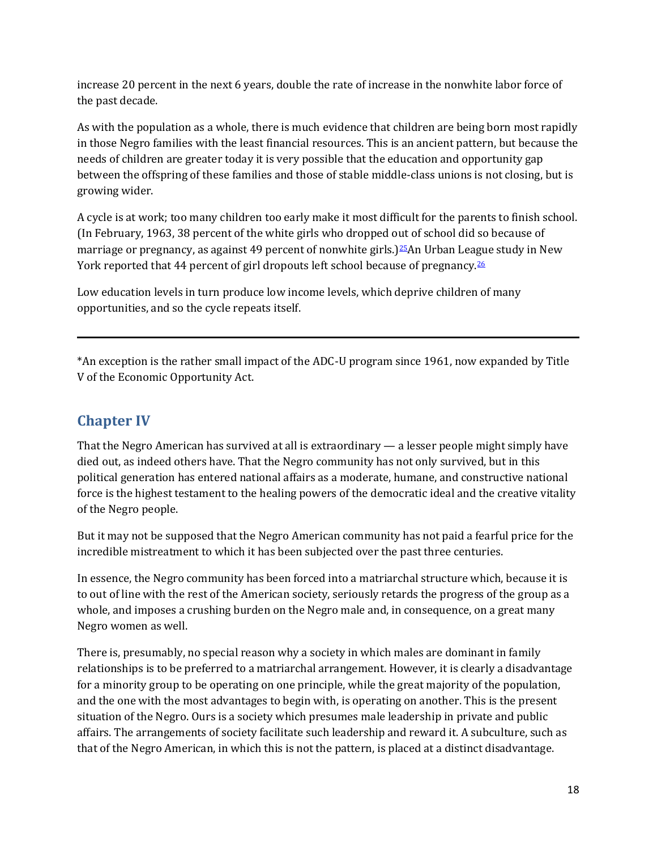increase 20 percent in the next 6 years, double the rate of increase in the nonwhite labor force of the past decade.

As with the population as a whole, there is much evidence that children are being born most rapidly in those Negro families with the least financial resources. This is an ancient pattern, but because the needs of children are greater today it is very possible that the education and opportunity gap between the offspring of these families and those of stable middle-class unions is not closing, but is growing wider.

A cycle is at work; too many children too early make it most difficult for the parents to finish school. (In February, 1963, 38 percent of the white girls who dropped out of school did so because of marriage or pregnancy, as against 49 percent of nonwhite girls.)<sup>[25](http://www.dol.gov/dol/aboutdol/history/moynfootnote.htm#25)</sup>An Urban League study in New York reported that 44 percent of girl dropouts left school because of pregnancy.<sup>[26](http://www.dol.gov/dol/aboutdol/history/moynfootnote.htm#26)</sup>

Low education levels in turn produce low income levels, which deprive children of many opportunities, and so the cycle repeats itself.

\*An exception is the rather small impact of the ADC-U program since 1961, now expanded by Title V of the Economic Opportunity Act.

## **Chapter IV**

That the Negro American has survived at all is extraordinary  $-$  a lesser people might simply have died out, as indeed others have. That the Negro community has not only survived, but in this political generation has entered national affairs as a moderate, humane, and constructive national force is the highest testament to the healing powers of the democratic ideal and the creative vitality of the Negro people.

But it may not be supposed that the Negro American community has not paid a fearful price for the incredible mistreatment to which it has been subjected over the past three centuries.

In essence, the Negro community has been forced into a matriarchal structure which, because it is to out of line with the rest of the American society, seriously retards the progress of the group as a whole, and imposes a crushing burden on the Negro male and, in consequence, on a great many Negro women as well.

There is, presumably, no special reason why a society in which males are dominant in family relationships is to be preferred to a matriarchal arrangement. However, it is clearly a disadvantage for a minority group to be operating on one principle, while the great majority of the population, and the one with the most advantages to begin with, is operating on another. This is the present situation of the Negro. Ours is a society which presumes male leadership in private and public affairs. The arrangements of society facilitate such leadership and reward it. A subculture, such as that of the Negro American, in which this is not the pattern, is placed at a distinct disadvantage.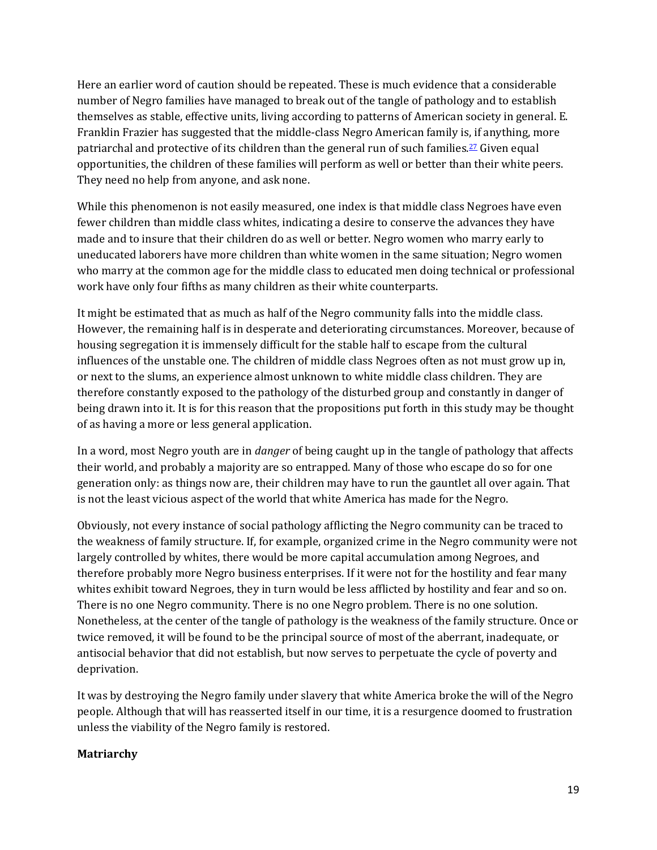Here an earlier word of caution should be repeated. These is much evidence that a considerable number of Negro families have managed to break out of the tangle of pathology and to establish themselves as stable, effective units, living according to patterns of American society in general. E. Franklin Frazier has suggested that the middle-class Negro American family is, if anything, more patriarchal and protective of its children than the general run of such families.[27](http://www.dol.gov/dol/aboutdol/history/moynfootnote.htm#27) Given equal opportunities, the children of these families will perform as well or better than their white peers. They need no help from anyone, and ask none.

While this phenomenon is not easily measured, one index is that middle class Negroes have even fewer children than middle class whites, indicating a desire to conserve the advances they have made and to insure that their children do as well or better. Negro women who marry early to uneducated laborers have more children than white women in the same situation; Negro women who marry at the common age for the middle class to educated men doing technical or professional work have only four fifths as many children as their white counterparts.

It might be estimated that as much as half of the Negro community falls into the middle class. However, the remaining half is in desperate and deteriorating circumstances. Moreover, because of housing segregation it is immensely difficult for the stable half to escape from the cultural influences of the unstable one. The children of middle class Negroes often as not must grow up in, or next to the slums, an experience almost unknown to white middle class children. They are therefore constantly exposed to the pathology of the disturbed group and constantly in danger of being drawn into it. It is for this reason that the propositions put forth in this study may be thought of as having a more or less general application.

In a word, most Negro youth are in *danger* of being caught up in the tangle of pathology that affects their world, and probably a majority are so entrapped. Many of those who escape do so for one generation only: as things now are, their children may have to run the gauntlet all over again. That is not the least vicious aspect of the world that white America has made for the Negro.

Obviously, not every instance of social pathology afflicting the Negro community can be traced to the weakness of family structure. If, for example, organized crime in the Negro community were not largely controlled by whites, there would be more capital accumulation among Negroes, and therefore probably more Negro business enterprises. If it were not for the hostility and fear many whites exhibit toward Negroes, they in turn would be less afflicted by hostility and fear and so on. There is no one Negro community. There is no one Negro problem. There is no one solution. Nonetheless, at the center of the tangle of pathology is the weakness of the family structure. Once or twice removed, it will be found to be the principal source of most of the aberrant, inadequate, or antisocial behavior that did not establish, but now serves to perpetuate the cycle of poverty and deprivation.

It was by destroying the Negro family under slavery that white America broke the will of the Negro people. Although that will has reasserted itself in our time, it is a resurgence doomed to frustration unless the viability of the Negro family is restored.

#### **Matriarchy**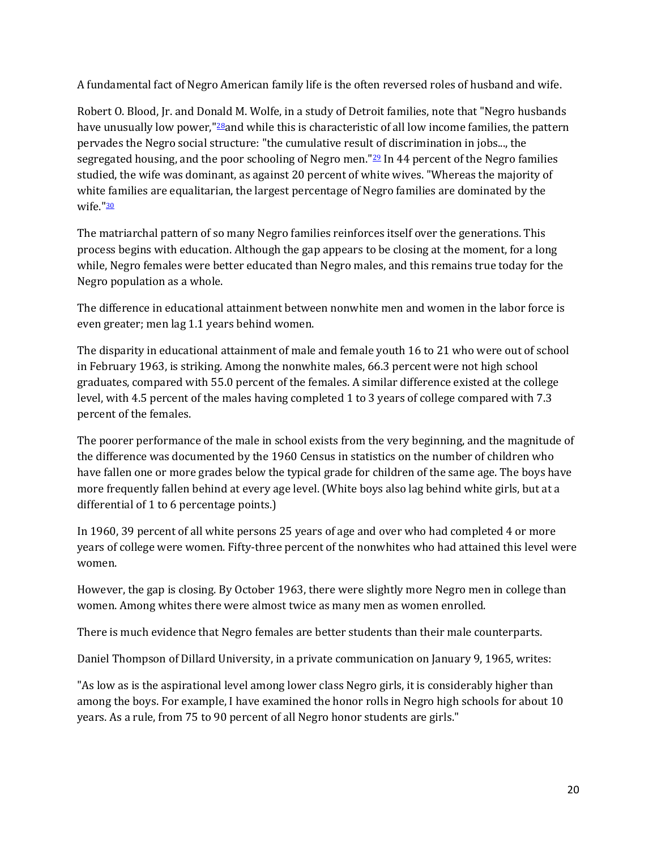A fundamental fact of Negro American family life is the often reversed roles of husband and wife.

Robert O. Blood, Jr. and Donald M. Wolfe, in a study of Detroit families, note that "Negro husbands have unusually low power,"<sup>[28](http://www.dol.gov/dol/aboutdol/history/moynfootnote.htm#28)</sup>and while this is characteristic of all low income families, the pattern pervades the Negro social structure: "the cumulative result of discrimination in jobs..., the segregated housing, and the poor schooling of Negro men."<sup>[29](http://www.dol.gov/dol/aboutdol/history/moynfootnote.htm#29)</sup> In 44 percent of the Negro families studied, the wife was dominant, as against 20 percent of white wives. "Whereas the majority of white families are equalitarian, the largest percentage of Negro families are dominated by the wife."<sup>[30](http://www.dol.gov/dol/aboutdol/history/moynfootnote.htm#30)</sup>

The matriarchal pattern of so many Negro families reinforces itself over the generations. This process begins with education. Although the gap appears to be closing at the moment, for a long while, Negro females were better educated than Negro males, and this remains true today for the Negro population as a whole.

The difference in educational attainment between nonwhite men and women in the labor force is even greater; men lag 1.1 years behind women.

The disparity in educational attainment of male and female youth 16 to 21 who were out of school in February 1963, is striking. Among the nonwhite males, 66.3 percent were not high school graduates, compared with 55.0 percent of the females. A similar difference existed at the college level, with 4.5 percent of the males having completed 1 to 3 years of college compared with 7.3 percent of the females.

The poorer performance of the male in school exists from the very beginning, and the magnitude of the difference was documented by the 1960 Census in statistics on the number of children who have fallen one or more grades below the typical grade for children of the same age. The boys have more frequently fallen behind at every age level. (White boys also lag behind white girls, but at a differential of 1 to 6 percentage points.)

In 1960, 39 percent of all white persons 25 years of age and over who had completed 4 or more years of college were women. Fifty-three percent of the nonwhites who had attained this level were women.

However, the gap is closing. By October 1963, there were slightly more Negro men in college than women. Among whites there were almost twice as many men as women enrolled.

There is much evidence that Negro females are better students than their male counterparts.

Daniel Thompson of Dillard University, in a private communication on January 9, 1965, writes:

"As low as is the aspirational level among lower class Negro girls, it is considerably higher than among the boys. For example, I have examined the honor rolls in Negro high schools for about 10 years. As a rule, from 75 to 90 percent of all Negro honor students are girls."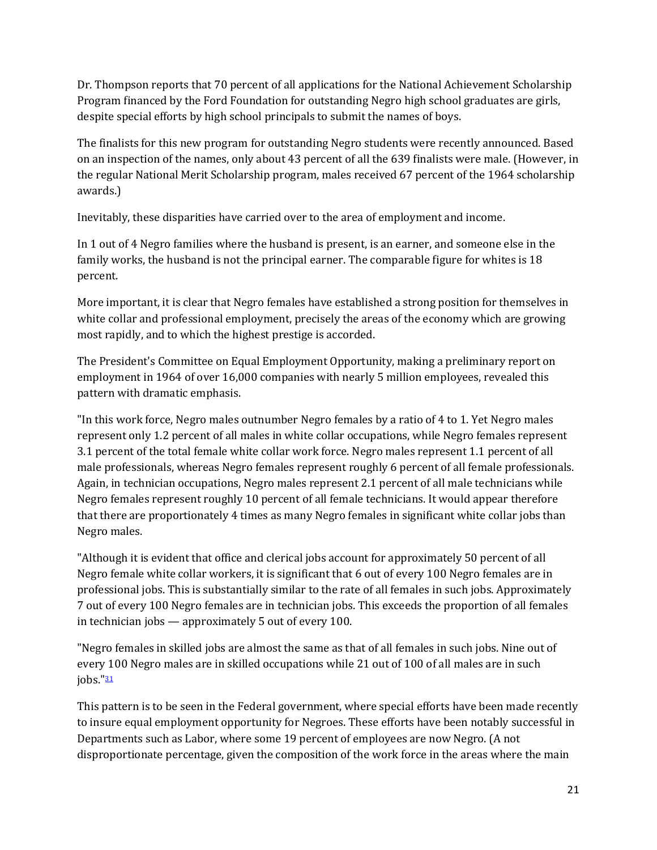Dr. Thompson reports that 70 percent of all applications for the National Achievement Scholarship Program financed by the Ford Foundation for outstanding Negro high school graduates are girls, despite special efforts by high school principals to submit the names of boys.

The finalists for this new program for outstanding Negro students were recently announced. Based on an inspection of the names, only about 43 percent of all the 639 finalists were male. (However, in the regular National Merit Scholarship program, males received 67 percent of the 1964 scholarship awards.)

Inevitably, these disparities have carried over to the area of employment and income.

In 1 out of 4 Negro families where the husband is present, is an earner, and someone else in the family works, the husband is not the principal earner. The comparable figure for whites is 18 percent.

More important, it is clear that Negro females have established a strong position for themselves in white collar and professional employment, precisely the areas of the economy which are growing most rapidly, and to which the highest prestige is accorded.

The President's Committee on Equal Employment Opportunity, making a preliminary report on employment in 1964 of over 16,000 companies with nearly 5 million employees, revealed this pattern with dramatic emphasis.

"In this work force, Negro males outnumber Negro females by a ratio of 4 to 1. Yet Negro males represent only 1.2 percent of all males in white collar occupations, while Negro females represent 3.1 percent of the total female white collar work force. Negro males represent 1.1 percent of all male professionals, whereas Negro females represent roughly 6 percent of all female professionals. Again, in technician occupations, Negro males represent 2.1 percent of all male technicians while Negro females represent roughly 10 percent of all female technicians. It would appear therefore that there are proportionately 4 times as many Negro females in significant white collar jobs than Negro males.

"Although it is evident that office and clerical jobs account for approximately 50 percent of all Negro female white collar workers, it is significant that 6 out of every 100 Negro females are in professional jobs. This is substantially similar to the rate of all females in such jobs. Approximately 7 out of every 100 Negro females are in technician jobs. This exceeds the proportion of all females in technician jobs — approximately 5 out of every 100.

"Negro females in skilled jobs are almost the same as that of all females in such jobs. Nine out of every 100 Negro males are in skilled occupations while 21 out of 100 of all males are in such  $jobs.$ " $\frac{31}{2}$  $\frac{31}{2}$  $\frac{31}{2}$ 

This pattern is to be seen in the Federal government, where special efforts have been made recently to insure equal employment opportunity for Negroes. These efforts have been notably successful in Departments such as Labor, where some 19 percent of employees are now Negro. (A not disproportionate percentage, given the composition of the work force in the areas where the main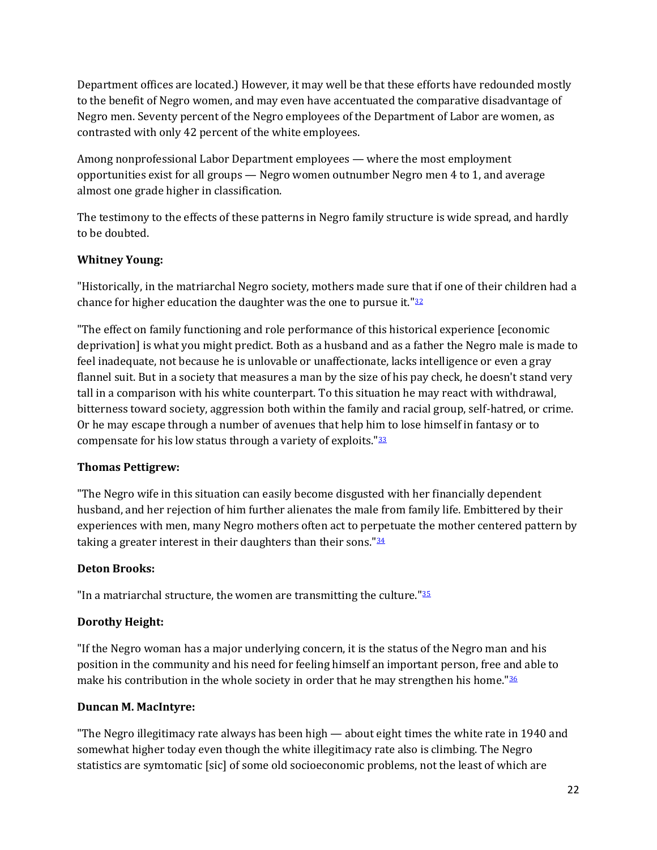Department offices are located.) However, it may well be that these efforts have redounded mostly to the benefit of Negro women, and may even have accentuated the comparative disadvantage of Negro men. Seventy percent of the Negro employees of the Department of Labor are women, as contrasted with only 42 percent of the white employees.

Among nonprofessional Labor Department employees — where the most employment opportunities exist for all groups — Negro women outnumber Negro men 4 to 1, and average almost one grade higher in classification.

The testimony to the effects of these patterns in Negro family structure is wide spread, and hardly to be doubted.

#### **Whitney Young:**

"Historically, in the matriarchal Negro society, mothers made sure that if one of their children had a chance for higher education the daughter was the one to pursue it.  $\frac{122}{2}$ 

"The effect on family functioning and role performance of this historical experience [economic deprivation] is what you might predict. Both as a husband and as a father the Negro male is made to feel inadequate, not because he is unlovable or unaffectionate, lacks intelligence or even a gray flannel suit. But in a society that measures a man by the size of his pay check, he doesn't stand very tall in a comparison with his white counterpart. To this situation he may react with withdrawal, bitterness toward society, aggression both within the family and racial group, self-hatred, or crime. Or he may escape through a number of avenues that help him to lose himself in fantasy or to compensate for his low status through a variety of exploits."<sup>[33](http://www.dol.gov/dol/aboutdol/history/moynfootnote.htm#33)</sup>

#### **Thomas Pettigrew:**

"The Negro wife in this situation can easily become disgusted with her financially dependent husband, and her rejection of him further alienates the male from family life. Embittered by their experiences with men, many Negro mothers often act to perpetuate the mother centered pattern by taking a greater interest in their daughters than their sons." $34$ 

#### **Deton Brooks:**

"In a matriarchal structure, the women are transmitting the culture."<sup>[35](http://www.dol.gov/dol/aboutdol/history/moynfootnote.htm#35)</sup>

#### **Dorothy Height:**

"If the Negro woman has a major underlying concern, it is the status of the Negro man and his position in the community and his need for feeling himself an important person, free and able to make his contribution in the whole society in order that he may strengthen his home."<sup>[36](http://www.dol.gov/dol/aboutdol/history/moynfootnote.htm#36)</sup>

#### **Duncan M. MacIntyre:**

"The Negro illegitimacy rate always has been high — about eight times the white rate in 1940 and somewhat higher today even though the white illegitimacy rate also is climbing. The Negro statistics are symtomatic [sic] of some old socioeconomic problems, not the least of which are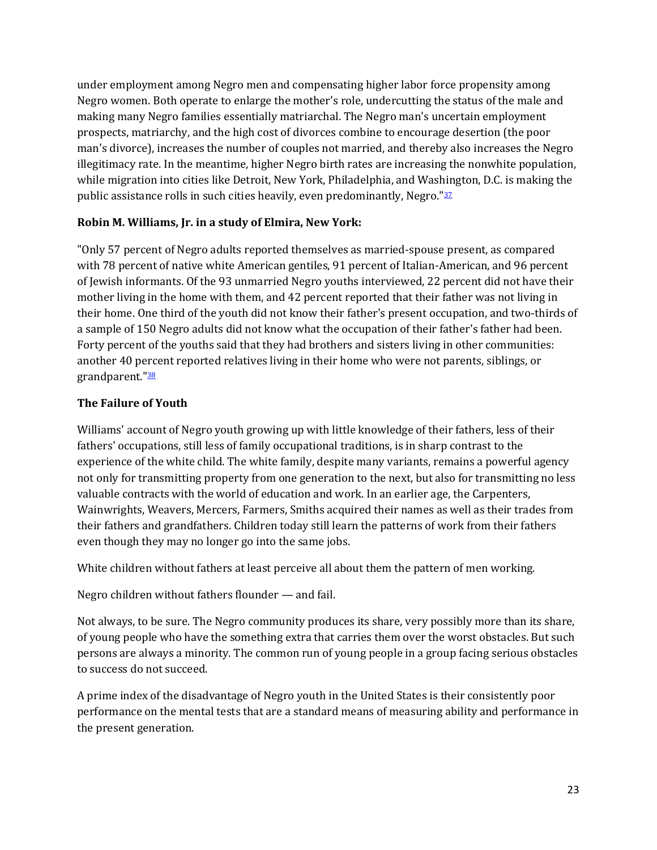under employment among Negro men and compensating higher labor force propensity among Negro women. Both operate to enlarge the mother's role, undercutting the status of the male and making many Negro families essentially matriarchal. The Negro man's uncertain employment prospects, matriarchy, and the high cost of divorces combine to encourage desertion (the poor man's divorce), increases the number of couples not married, and thereby also increases the Negro illegitimacy rate. In the meantime, higher Negro birth rates are increasing the nonwhite population, while migration into cities like Detroit, New York, Philadelphia, and Washington, D.C. is making the public assistance rolls in such cities heavily, even predominantly, Negro."[37](http://www.dol.gov/dol/aboutdol/history/moynfootnote.htm#37)

#### **Robin M. Williams, Jr. in a study of Elmira, New York:**

"Only 57 percent of Negro adults reported themselves as married-spouse present, as compared with 78 percent of native white American gentiles, 91 percent of Italian-American, and 96 percent of Jewish informants. Of the 93 unmarried Negro youths interviewed, 22 percent did not have their mother living in the home with them, and 42 percent reported that their father was not living in their home. One third of the youth did not know their father's present occupation, and two-thirds of a sample of 150 Negro adults did not know what the occupation of their father's father had been. Forty percent of the youths said that they had brothers and sisters living in other communities: another 40 percent reported relatives living in their home who were not parents, siblings, or grandparent."[38](http://www.dol.gov/dol/aboutdol/history/moynfootnote.htm#38)

#### **The Failure of Youth**

Williams' account of Negro youth growing up with little knowledge of their fathers, less of their fathers' occupations, still less of family occupational traditions, is in sharp contrast to the experience of the white child. The white family, despite many variants, remains a powerful agency not only for transmitting property from one generation to the next, but also for transmitting no less valuable contracts with the world of education and work. In an earlier age, the Carpenters, Wainwrights, Weavers, Mercers, Farmers, Smiths acquired their names as well as their trades from their fathers and grandfathers. Children today still learn the patterns of work from their fathers even though they may no longer go into the same jobs.

White children without fathers at least perceive all about them the pattern of men working.

Negro children without fathers flounder — and fail.

Not always, to be sure. The Negro community produces its share, very possibly more than its share, of young people who have the something extra that carries them over the worst obstacles. But such persons are always a minority. The common run of young people in a group facing serious obstacles to success do not succeed.

A prime index of the disadvantage of Negro youth in the United States is their consistently poor performance on the mental tests that are a standard means of measuring ability and performance in the present generation.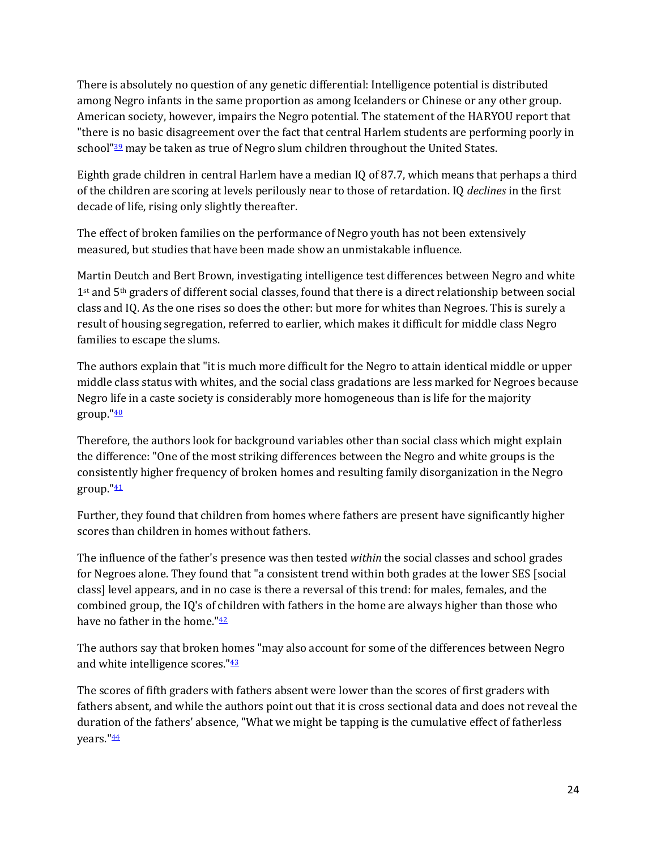There is absolutely no question of any genetic differential: Intelligence potential is distributed among Negro infants in the same proportion as among Icelanders or Chinese or any other group. American society, however, impairs the Negro potential. The statement of the HARYOU report that "there is no basic disagreement over the fact that central Harlem students are performing poorly in school"[39](http://www.dol.gov/dol/aboutdol/history/moynfootnote.htm#39) may be taken as true of Negro slum children throughout the United States.

Eighth grade children in central Harlem have a median IQ of 87.7, which means that perhaps a third of the children are scoring at levels perilously near to those of retardation. IQ *declines* in the first decade of life, rising only slightly thereafter.

The effect of broken families on the performance of Negro youth has not been extensively measured, but studies that have been made show an unmistakable influence.

Martin Deutch and Bert Brown, investigating intelligence test differences between Negro and white 1st and 5th graders of different social classes, found that there is a direct relationship between social class and IQ. As the one rises so does the other: but more for whites than Negroes. This is surely a result of housing segregation, referred to earlier, which makes it difficult for middle class Negro families to escape the slums.

The authors explain that "it is much more difficult for the Negro to attain identical middle or upper middle class status with whites, and the social class gradations are less marked for Negroes because Negro life in a caste society is considerably more homogeneous than is life for the majority group."[40](http://www.dol.gov/dol/aboutdol/history/moynfootnote.htm#40)

Therefore, the authors look for background variables other than social class which might explain the difference: "One of the most striking differences between the Negro and white groups is the consistently higher frequency of broken homes and resulting family disorganization in the Negro group.  $41$ 

Further, they found that children from homes where fathers are present have significantly higher scores than children in homes without fathers.

The influence of the father's presence was then tested *within* the social classes and school grades for Negroes alone. They found that "a consistent trend within both grades at the lower SES [social class] level appears, and in no case is there a reversal of this trend: for males, females, and the combined group, the IQ's of children with fathers in the home are always higher than those who have no father in the home." $\frac{42}{2}$  $\frac{42}{2}$  $\frac{42}{2}$ 

The authors say that broken homes "may also account for some of the differences between Negro and white intelligence scores."[43](http://www.dol.gov/dol/aboutdol/history/moynfootnote.htm#43)

The scores of fifth graders with fathers absent were lower than the scores of first graders with fathers absent, and while the authors point out that it is cross sectional data and does not reveal the duration of the fathers' absence, "What we might be tapping is the cumulative effect of fatherless years."<sup>[44](http://www.dol.gov/dol/aboutdol/history/moynfootnote.htm#44)</sup>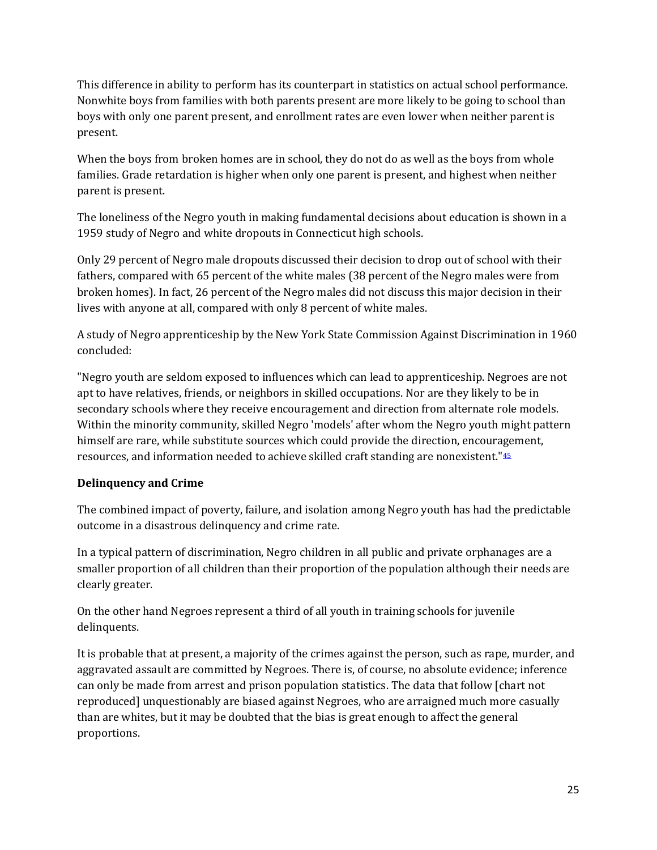This difference in ability to perform has its counterpart in statistics on actual school performance. Nonwhite boys from families with both parents present are more likely to be going to school than boys with only one parent present, and enrollment rates are even lower when neither parent is present.

When the boys from broken homes are in school, they do not do as well as the boys from whole families. Grade retardation is higher when only one parent is present, and highest when neither parent is present.

The loneliness of the Negro youth in making fundamental decisions about education is shown in a 1959 study of Negro and white dropouts in Connecticut high schools.

Only 29 percent of Negro male dropouts discussed their decision to drop out of school with their fathers, compared with 65 percent of the white males (38 percent of the Negro males were from broken homes). In fact, 26 percent of the Negro males did not discuss this major decision in their lives with anyone at all, compared with only 8 percent of white males.

A study of Negro apprenticeship by the New York State Commission Against Discrimination in 1960 concluded:

"Negro youth are seldom exposed to influences which can lead to apprenticeship. Negroes are not apt to have relatives, friends, or neighbors in skilled occupations. Nor are they likely to be in secondary schools where they receive encouragement and direction from alternate role models. Within the minority community, skilled Negro 'models' after whom the Negro youth might pattern himself are rare, while substitute sources which could provide the direction, encouragement, resources, and information needed to achieve skilled craft standing are nonexistent."[45](http://www.dol.gov/dol/aboutdol/history/moynfootnote.htm#45)

#### **Delinquency and Crime**

The combined impact of poverty, failure, and isolation among Negro youth has had the predictable outcome in a disastrous delinquency and crime rate.

In a typical pattern of discrimination, Negro children in all public and private orphanages are a smaller proportion of all children than their proportion of the population although their needs are clearly greater.

On the other hand Negroes represent a third of all youth in training schools for juvenile delinquents.

It is probable that at present, a majority of the crimes against the person, such as rape, murder, and aggravated assault are committed by Negroes. There is, of course, no absolute evidence; inference can only be made from arrest and prison population statistics. The data that follow [chart not reproduced] unquestionably are biased against Negroes, who are arraigned much more casually than are whites, but it may be doubted that the bias is great enough to affect the general proportions.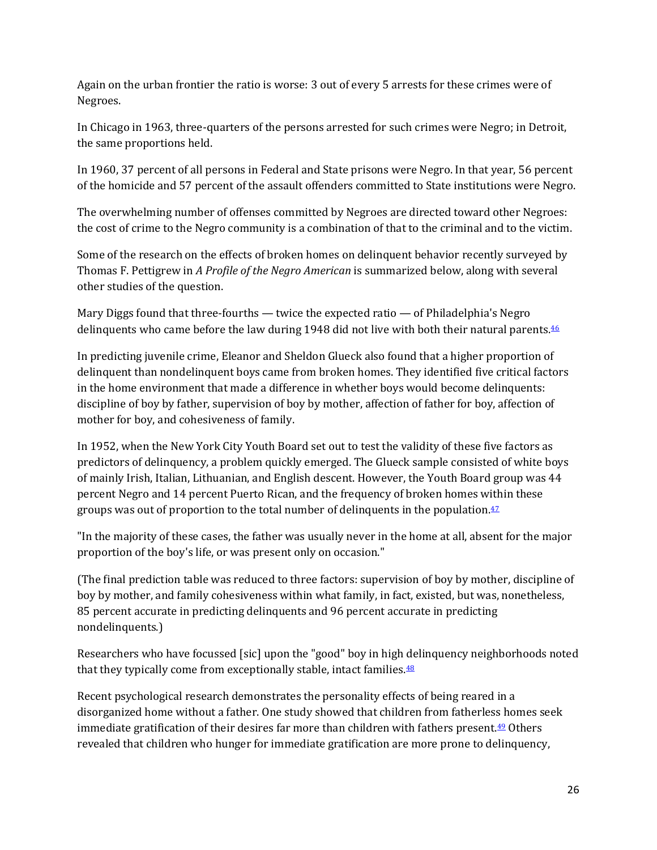Again on the urban frontier the ratio is worse: 3 out of every 5 arrests for these crimes were of Negroes.

In Chicago in 1963, three-quarters of the persons arrested for such crimes were Negro; in Detroit, the same proportions held.

In 1960, 37 percent of all persons in Federal and State prisons were Negro. In that year, 56 percent of the homicide and 57 percent of the assault offenders committed to State institutions were Negro.

The overwhelming number of offenses committed by Negroes are directed toward other Negroes: the cost of crime to the Negro community is a combination of that to the criminal and to the victim.

Some of the research on the effects of broken homes on delinquent behavior recently surveyed by Thomas F. Pettigrew in *A Profile of the Negro American* is summarized below, along with several other studies of the question.

Mary Diggs found that three-fourths — twice the expected ratio — of Philadelphia's Negro delinquents who came before the law during 1948 did not live with both their natural parents. $\frac{46}{3}$  $\frac{46}{3}$  $\frac{46}{3}$ 

In predicting juvenile crime, Eleanor and Sheldon Glueck also found that a higher proportion of delinquent than nondelinquent boys came from broken homes. They identified five critical factors in the home environment that made a difference in whether boys would become delinquents: discipline of boy by father, supervision of boy by mother, affection of father for boy, affection of mother for boy, and cohesiveness of family.

In 1952, when the New York City Youth Board set out to test the validity of these five factors as predictors of delinquency, a problem quickly emerged. The Glueck sample consisted of white boys of mainly Irish, Italian, Lithuanian, and English descent. However, the Youth Board group was 44 percent Negro and 14 percent Puerto Rican, and the frequency of broken homes within these groups was out of proportion to the total number of delinquents in the population. $\frac{47}{5}$  $\frac{47}{5}$  $\frac{47}{5}$ 

"In the majority of these cases, the father was usually never in the home at all, absent for the major proportion of the boy's life, or was present only on occasion."

(The final prediction table was reduced to three factors: supervision of boy by mother, discipline of boy by mother, and family cohesiveness within what family, in fact, existed, but was, nonetheless, 85 percent accurate in predicting delinquents and 96 percent accurate in predicting nondelinquents.)

Researchers who have focussed [sic] upon the "good" boy in high delinquency neighborhoods noted that they typically come from exceptionally stable, intact families. $48$ 

Recent psychological research demonstrates the personality effects of being reared in a disorganized home without a father. One study showed that children from fatherless homes seek immediate gratification of their desires far more than children with fathers present. $49$  Others revealed that children who hunger for immediate gratification are more prone to delinquency,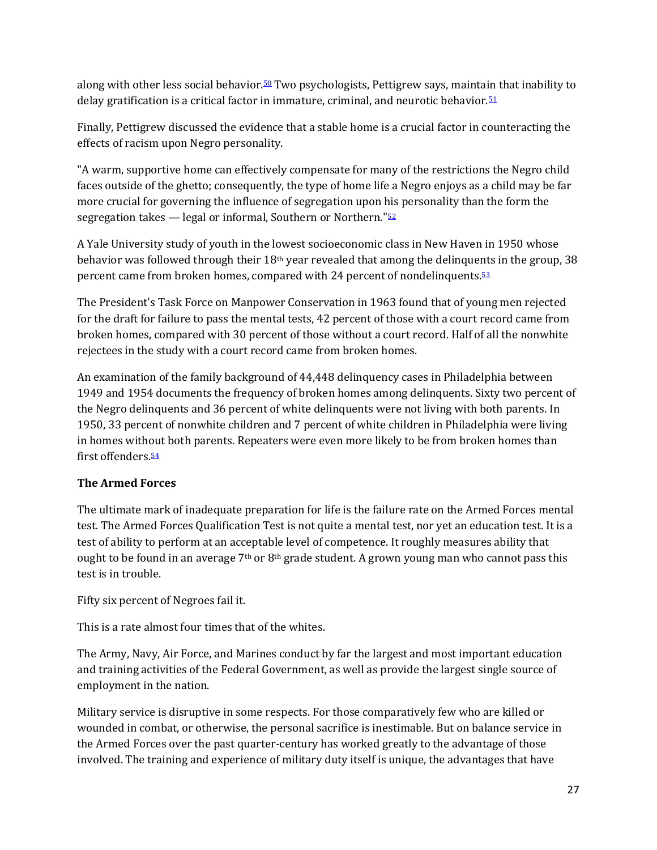along with other less social behavior.<sup>[50](http://www.dol.gov/dol/aboutdol/history/moynfootnote.htm#50)</sup> Two psychologists, Pettigrew says, maintain that inability to delay gratification is a critical factor in immature, criminal, and neurotic behavior.<sup>[51](http://www.dol.gov/dol/aboutdol/history/moynfootnote.htm#51)</sup>

Finally, Pettigrew discussed the evidence that a stable home is a crucial factor in counteracting the effects of racism upon Negro personality.

"A warm, supportive home can effectively compensate for many of the restrictions the Negro child faces outside of the ghetto; consequently, the type of home life a Negro enjoys as a child may be far more crucial for governing the influence of segregation upon his personality than the form the segregation takes — legal or informal, Southern or Northern."[52](http://www.dol.gov/dol/aboutdol/history/moynfootnote.htm#52)

A Yale University study of youth in the lowest socioeconomic class in New Haven in 1950 whose behavior was followed through their 18th year revealed that among the delinquents in the group, 38 percent came from broken homes, compared with 24 percent of nondelinquents.[53](http://www.dol.gov/dol/aboutdol/history/moynfootnote.htm#53)

The President's Task Force on Manpower Conservation in 1963 found that of young men rejected for the draft for failure to pass the mental tests, 42 percent of those with a court record came from broken homes, compared with 30 percent of those without a court record. Half of all the nonwhite rejectees in the study with a court record came from broken homes.

An examination of the family background of 44,448 delinquency cases in Philadelphia between 1949 and 1954 documents the frequency of broken homes among delinquents. Sixty two percent of the Negro delinquents and 36 percent of white delinquents were not living with both parents. In 1950, 33 percent of nonwhite children and 7 percent of white children in Philadelphia were living in homes without both parents. Repeaters were even more likely to be from broken homes than first offenders.[54](http://www.dol.gov/dol/aboutdol/history/moynfootnote.htm#54)

#### **The Armed Forces**

The ultimate mark of inadequate preparation for life is the failure rate on the Armed Forces mental test. The Armed Forces Qualification Test is not quite a mental test, nor yet an education test. It is a test of ability to perform at an acceptable level of competence. It roughly measures ability that ought to be found in an average 7<sup>th</sup> or  $8<sup>th</sup>$  grade student. A grown young man who cannot pass this test is in trouble.

Fifty six percent of Negroes fail it.

This is a rate almost four times that of the whites.

The Army, Navy, Air Force, and Marines conduct by far the largest and most important education and training activities of the Federal Government, as well as provide the largest single source of employment in the nation.

Military service is disruptive in some respects. For those comparatively few who are killed or wounded in combat, or otherwise, the personal sacrifice is inestimable. But on balance service in the Armed Forces over the past quarter-century has worked greatly to the advantage of those involved. The training and experience of military duty itself is unique, the advantages that have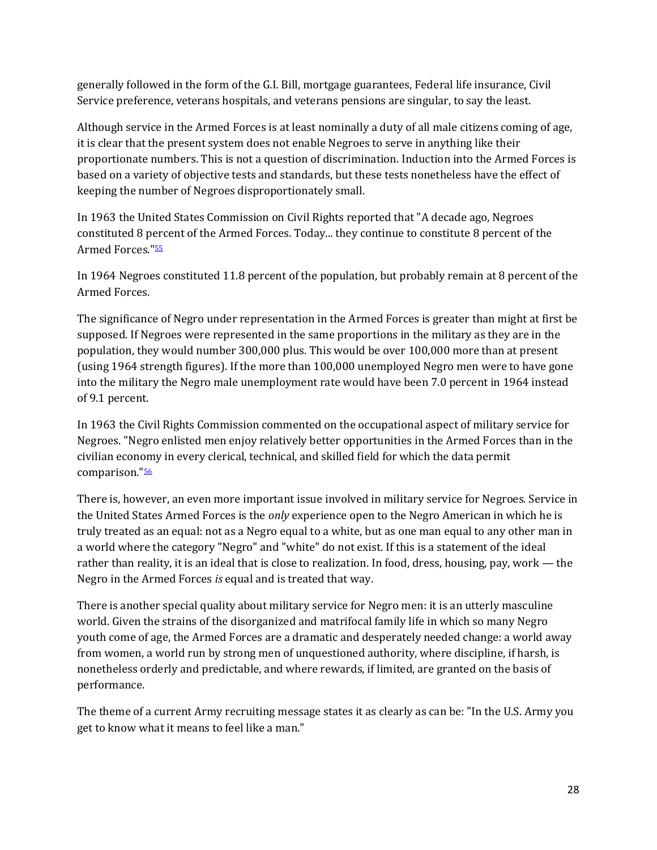generally followed in the form of the G.I. Bill, mortgage guarantees, Federal life insurance, Civil Service preference, veterans hospitals, and veterans pensions are singular, to say the least.

Although service in the Armed Forces is at least nominally a duty of all male citizens coming of age, it is clear that the present system does not enable Negroes to serve in anything like their proportionate numbers. This is not a question of discrimination. Induction into the Armed Forces is based on a variety of objective tests and standards, but these tests nonetheless have the effect of keeping the number of Negroes disproportionately small.

In 1963 the United States Commission on Civil Rights reported that "A decade ago, Negroes constituted 8 percent of the Armed Forces. Today... they continue to constitute 8 percent of the Armed Forces."[55](http://www.dol.gov/dol/aboutdol/history/moynfootnote.htm#55)

In 1964 Negroes constituted 11.8 percent of the population, but probably remain at 8 percent of the Armed Forces.

The significance of Negro under representation in the Armed Forces is greater than might at first be supposed. If Negroes were represented in the same proportions in the military as they are in the population, they would number 300,000 plus. This would be over 100,000 more than at present (using 1964 strength figures). If the more than 100,000 unemployed Negro men were to have gone into the military the Negro male unemployment rate would have been 7.0 percent in 1964 instead of 9.1 percent.

In 1963 the Civil Rights Commission commented on the occupational aspect of military service for Negroes. "Negro enlisted men enjoy relatively better opportunities in the Armed Forces than in the civilian economy in every clerical, technical, and skilled field for which the data permit comparison."[56](http://www.dol.gov/dol/aboutdol/history/moynfootnote.htm#56)

There is, however, an even more important issue involved in military service for Negroes. Service in the United States Armed Forces is the *only* experience open to the Negro American in which he is truly treated as an equal: not as a Negro equal to a white, but as one man equal to any other man in a world where the category "Negro" and "white" do not exist. If this is a statement of the ideal rather than reality, it is an ideal that is close to realization. In food, dress, housing, pay, work — the Negro in the Armed Forces *is* equal and is treated that way.

There is another special quality about military service for Negro men: it is an utterly masculine world. Given the strains of the disorganized and matrifocal family life in which so many Negro youth come of age, the Armed Forces are a dramatic and desperately needed change: a world away from women, a world run by strong men of unquestioned authority, where discipline, if harsh, is nonetheless orderly and predictable, and where rewards, if limited, are granted on the basis of performance.

The theme of a current Army recruiting message states it as clearly as can be: "In the U.S. Army you get to know what it means to feel like a man."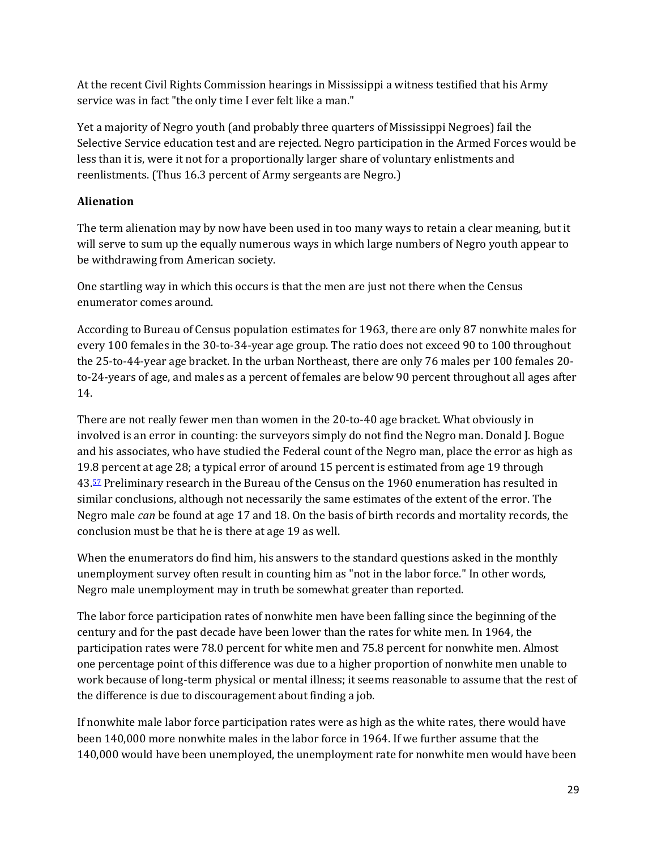At the recent Civil Rights Commission hearings in Mississippi a witness testified that his Army service was in fact "the only time I ever felt like a man."

Yet a majority of Negro youth (and probably three quarters of Mississippi Negroes) fail the Selective Service education test and are rejected. Negro participation in the Armed Forces would be less than it is, were it not for a proportionally larger share of voluntary enlistments and reenlistments. (Thus 16.3 percent of Army sergeants are Negro.)

### **Alienation**

The term alienation may by now have been used in too many ways to retain a clear meaning, but it will serve to sum up the equally numerous ways in which large numbers of Negro youth appear to be withdrawing from American society.

One startling way in which this occurs is that the men are just not there when the Census enumerator comes around.

According to Bureau of Census population estimates for 1963, there are only 87 nonwhite males for every 100 females in the 30-to-34-year age group. The ratio does not exceed 90 to 100 throughout the 25-to-44-year age bracket. In the urban Northeast, there are only 76 males per 100 females 20 to-24-years of age, and males as a percent of females are below 90 percent throughout all ages after 14.

There are not really fewer men than women in the 20-to-40 age bracket. What obviously in involved is an error in counting: the surveyors simply do not find the Negro man. Donald J. Bogue and his associates, who have studied the Federal count of the Negro man, place the error as high as 19.8 percent at age 28; a typical error of around 15 percent is estimated from age 19 through 43.[57](http://www.dol.gov/dol/aboutdol/history/moynfootnote.htm#57) Preliminary research in the Bureau of the Census on the 1960 enumeration has resulted in similar conclusions, although not necessarily the same estimates of the extent of the error. The Negro male *can* be found at age 17 and 18. On the basis of birth records and mortality records, the conclusion must be that he is there at age 19 as well.

When the enumerators do find him, his answers to the standard questions asked in the monthly unemployment survey often result in counting him as "not in the labor force." In other words, Negro male unemployment may in truth be somewhat greater than reported.

The labor force participation rates of nonwhite men have been falling since the beginning of the century and for the past decade have been lower than the rates for white men. In 1964, the participation rates were 78.0 percent for white men and 75.8 percent for nonwhite men. Almost one percentage point of this difference was due to a higher proportion of nonwhite men unable to work because of long-term physical or mental illness; it seems reasonable to assume that the rest of the difference is due to discouragement about finding a job.

If nonwhite male labor force participation rates were as high as the white rates, there would have been 140,000 more nonwhite males in the labor force in 1964. If we further assume that the 140,000 would have been unemployed, the unemployment rate for nonwhite men would have been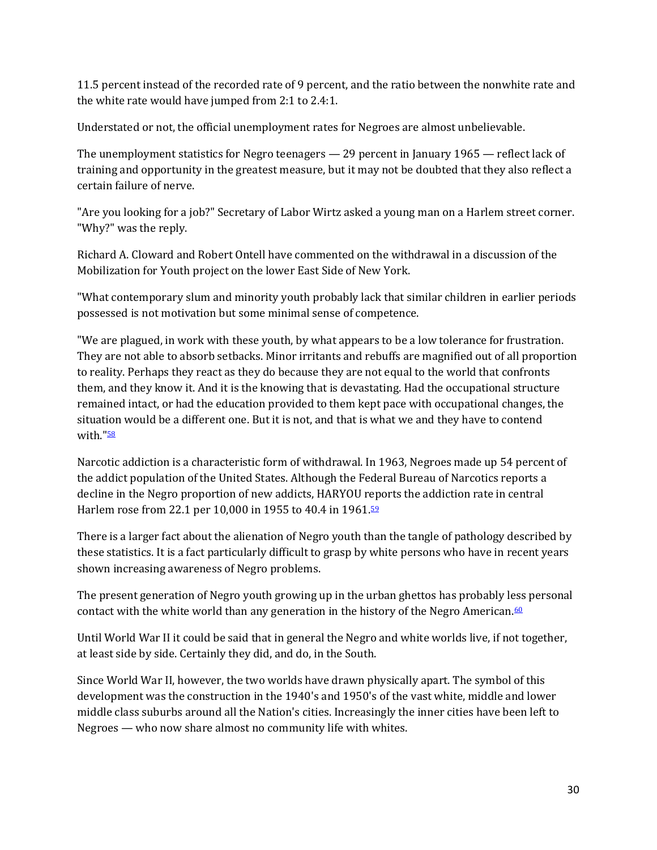11.5 percent instead of the recorded rate of 9 percent, and the ratio between the nonwhite rate and the white rate would have jumped from 2:1 to 2.4:1.

Understated or not, the official unemployment rates for Negroes are almost unbelievable.

The unemployment statistics for Negro teenagers — 29 percent in January 1965 — reflect lack of training and opportunity in the greatest measure, but it may not be doubted that they also reflect a certain failure of nerve.

"Are you looking for a job?" Secretary of Labor Wirtz asked a young man on a Harlem street corner. "Why?" was the reply.

Richard A. Cloward and Robert Ontell have commented on the withdrawal in a discussion of the Mobilization for Youth project on the lower East Side of New York.

"What contemporary slum and minority youth probably lack that similar children in earlier periods possessed is not motivation but some minimal sense of competence.

"We are plagued, in work with these youth, by what appears to be a low tolerance for frustration. They are not able to absorb setbacks. Minor irritants and rebuffs are magnified out of all proportion to reality. Perhaps they react as they do because they are not equal to the world that confronts them, and they know it. And it is the knowing that is devastating. Had the occupational structure remained intact, or had the education provided to them kept pace with occupational changes, the situation would be a different one. But it is not, and that is what we and they have to contend with."[58](http://www.dol.gov/dol/aboutdol/history/moynfootnote.htm#58)

Narcotic addiction is a characteristic form of withdrawal. In 1963, Negroes made up 54 percent of the addict population of the United States. Although the Federal Bureau of Narcotics reports a decline in the Negro proportion of new addicts, HARYOU reports the addiction rate in central Harlem rose from 22.1 per 10,000 in 1955 to 40.4 in 1961.[59](http://www.dol.gov/dol/aboutdol/history/moynfootnote.htm#59)

There is a larger fact about the alienation of Negro youth than the tangle of pathology described by these statistics. It is a fact particularly difficult to grasp by white persons who have in recent years shown increasing awareness of Negro problems.

The present generation of Negro youth growing up in the urban ghettos has probably less personal contact with the white world than any generation in the history of the Negro American. $60$ 

Until World War II it could be said that in general the Negro and white worlds live, if not together, at least side by side. Certainly they did, and do, in the South.

Since World War II, however, the two worlds have drawn physically apart. The symbol of this development was the construction in the 1940's and 1950's of the vast white, middle and lower middle class suburbs around all the Nation's cities. Increasingly the inner cities have been left to Negroes — who now share almost no community life with whites.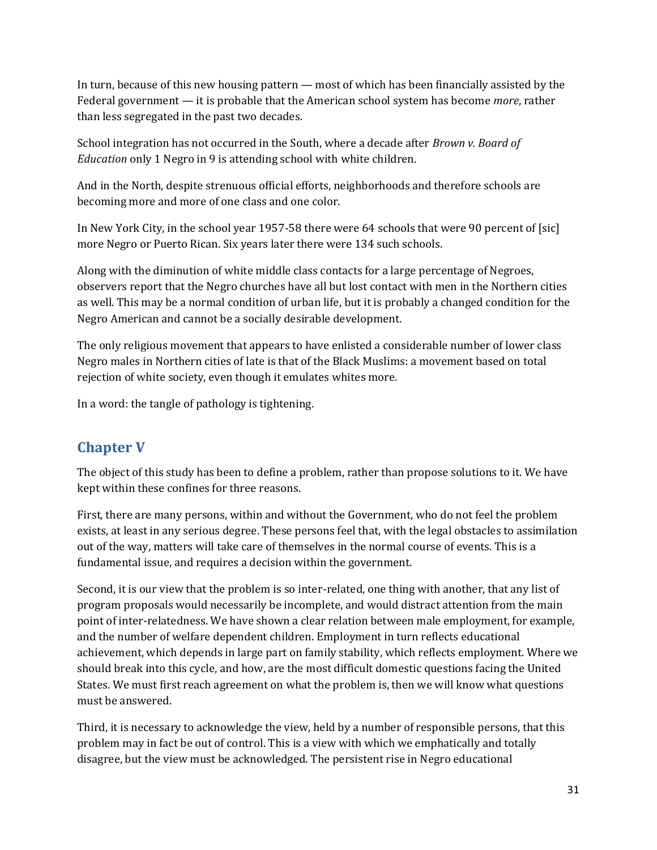In turn, because of this new housing pattern — most of which has been financially assisted by the Federal government — it is probable that the American school system has become *more*, rather than less segregated in the past two decades.

School integration has not occurred in the South, where a decade after *Brown v. Board of Education* only 1 Negro in 9 is attending school with white children.

And in the North, despite strenuous official efforts, neighborhoods and therefore schools are becoming more and more of one class and one color.

In New York City, in the school year 1957-58 there were 64 schools that were 90 percent of [sic] more Negro or Puerto Rican. Six years later there were 134 such schools.

Along with the diminution of white middle class contacts for a large percentage of Negroes, observers report that the Negro churches have all but lost contact with men in the Northern cities as well. This may be a normal condition of urban life, but it is probably a changed condition for the Negro American and cannot be a socially desirable development.

The only religious movement that appears to have enlisted a considerable number of lower class Negro males in Northern cities of late is that of the Black Muslims: a movement based on total rejection of white society, even though it emulates whites more.

In a word: the tangle of pathology is tightening.

# **Chapter V**

The object of this study has been to define a problem, rather than propose solutions to it. We have kept within these confines for three reasons.

First, there are many persons, within and without the Government, who do not feel the problem exists, at least in any serious degree. These persons feel that, with the legal obstacles to assimilation out of the way, matters will take care of themselves in the normal course of events. This is a fundamental issue, and requires a decision within the government.

Second, it is our view that the problem is so inter-related, one thing with another, that any list of program proposals would necessarily be incomplete, and would distract attention from the main point of inter-relatedness. We have shown a clear relation between male employment, for example, and the number of welfare dependent children. Employment in turn reflects educational achievement, which depends in large part on family stability, which reflects employment. Where we should break into this cycle, and how, are the most difficult domestic questions facing the United States. We must first reach agreement on what the problem is, then we will know what questions must be answered.

Third, it is necessary to acknowledge the view, held by a number of responsible persons, that this problem may in fact be out of control. This is a view with which we emphatically and totally disagree, but the view must be acknowledged. The persistent rise in Negro educational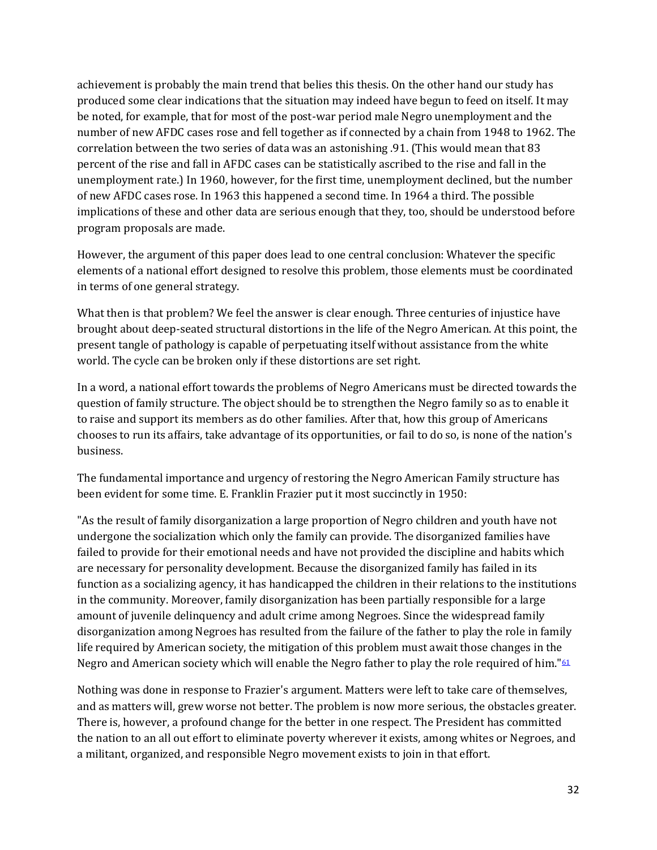achievement is probably the main trend that belies this thesis. On the other hand our study has produced some clear indications that the situation may indeed have begun to feed on itself. It may be noted, for example, that for most of the post-war period male Negro unemployment and the number of new AFDC cases rose and fell together as if connected by a chain from 1948 to 1962. The correlation between the two series of data was an astonishing .91. (This would mean that 83 percent of the rise and fall in AFDC cases can be statistically ascribed to the rise and fall in the unemployment rate.) In 1960, however, for the first time, unemployment declined, but the number of new AFDC cases rose. In 1963 this happened a second time. In 1964 a third. The possible implications of these and other data are serious enough that they, too, should be understood before program proposals are made.

However, the argument of this paper does lead to one central conclusion: Whatever the specific elements of a national effort designed to resolve this problem, those elements must be coordinated in terms of one general strategy.

What then is that problem? We feel the answer is clear enough. Three centuries of injustice have brought about deep-seated structural distortions in the life of the Negro American. At this point, the present tangle of pathology is capable of perpetuating itself without assistance from the white world. The cycle can be broken only if these distortions are set right.

In a word, a national effort towards the problems of Negro Americans must be directed towards the question of family structure. The object should be to strengthen the Negro family so as to enable it to raise and support its members as do other families. After that, how this group of Americans chooses to run its affairs, take advantage of its opportunities, or fail to do so, is none of the nation's business.

The fundamental importance and urgency of restoring the Negro American Family structure has been evident for some time. E. Franklin Frazier put it most succinctly in 1950:

"As the result of family disorganization a large proportion of Negro children and youth have not undergone the socialization which only the family can provide. The disorganized families have failed to provide for their emotional needs and have not provided the discipline and habits which are necessary for personality development. Because the disorganized family has failed in its function as a socializing agency, it has handicapped the children in their relations to the institutions in the community. Moreover, family disorganization has been partially responsible for a large amount of juvenile delinquency and adult crime among Negroes. Since the widespread family disorganization among Negroes has resulted from the failure of the father to play the role in family life required by American society, the mitigation of this problem must await those changes in the Negro and American society which will enable the Negro father to play the role required of him."[61](http://www.dol.gov/dol/aboutdol/history/moynfootnote.htm#61)

Nothing was done in response to Frazier's argument. Matters were left to take care of themselves, and as matters will, grew worse not better. The problem is now more serious, the obstacles greater. There is, however, a profound change for the better in one respect. The President has committed the nation to an all out effort to eliminate poverty wherever it exists, among whites or Negroes, and a militant, organized, and responsible Negro movement exists to join in that effort.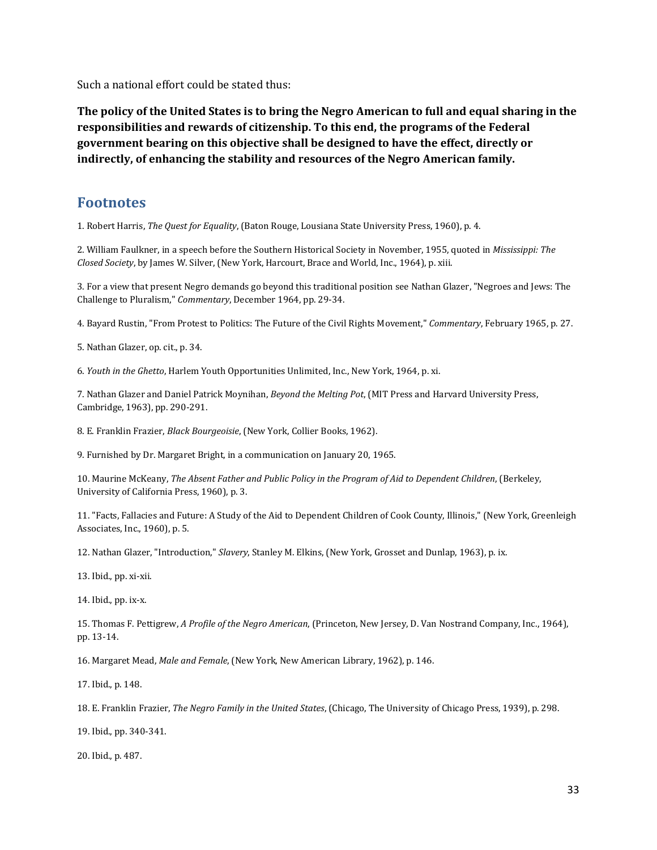Such a national effort could be stated thus:

**The policy of the United States is to bring the Negro American to full and equal sharing in the responsibilities and rewards of citizenship. To this end, the programs of the Federal government bearing on this objective shall be designed to have the effect, directly or indirectly, of enhancing the stability and resources of the Negro American family.**

## **Footnotes**

1. Robert Harris, *The Quest for Equality*, (Baton Rouge, Lousiana State University Press, 1960), p. 4.

2. William Faulkner, in a speech before the Southern Historical Society in November, 1955, quoted in *Mississippi: The Closed Society*, by James W. Silver, (New York, Harcourt, Brace and World, Inc., 1964), p. xiii.

3. For a view that present Negro demands go beyond this traditional position see Nathan Glazer, "Negroes and Jews: The Challenge to Pluralism," *Commentary*, December 1964, pp. 29-34.

4. Bayard Rustin, "From Protest to Politics: The Future of the Civil Rights Movement," *Commentary*, February 1965, p. 27.

5. Nathan Glazer, op. cit., p. 34.

6. *Youth in the Ghetto*, Harlem Youth Opportunities Unlimited, Inc., New York, 1964, p. xi.

7. Nathan Glazer and Daniel Patrick Moynihan, *Beyond the Melting Pot*, (MIT Press and Harvard University Press, Cambridge, 1963), pp. 290-291.

8. E. Franklin Frazier, *Black Bourgeoisie*, (New York, Collier Books, 1962).

9. Furnished by Dr. Margaret Bright, in a communication on January 20, 1965.

10. Maurine McKeany, *The Absent Father and Public Policy in the Program of Aid to Dependent Children*, (Berkeley, University of California Press, 1960), p. 3.

11. "Facts, Fallacies and Future: A Study of the Aid to Dependent Children of Cook County, Illinois," (New York, Greenleigh Associates, Inc., 1960), p. 5.

12. Nathan Glazer, "Introduction," *Slavery*, Stanley M. Elkins, (New York, Grosset and Dunlap, 1963), p. ix.

13. Ibid., pp. xi-xii.

14. Ibid., pp. ix-x.

15. Thomas F. Pettigrew, *A Profile of the Negro American*, (Princeton, New Jersey, D. Van Nostrand Company, Inc., 1964), pp. 13-14.

16. Margaret Mead, *Male and Female*, (New York, New American Library, 1962), p. 146.

17. Ibid., p. 148.

18. E. Franklin Frazier, *The Negro Family in the United States*, (Chicago, The University of Chicago Press, 1939), p. 298.

19. Ibid., pp. 340-341.

20. Ibid., p. 487.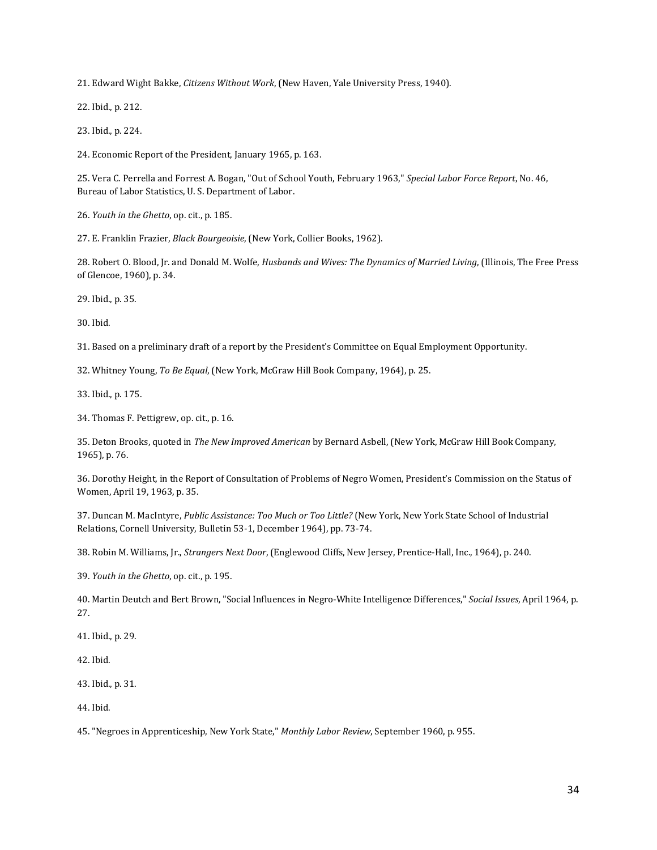21. Edward Wight Bakke, *Citizens Without Work*, (New Haven, Yale University Press, 1940).

22. Ibid., p. 212.

23. Ibid., p. 224.

24. Economic Report of the President, January 1965, p. 163.

25. Vera C. Perrella and Forrest A. Bogan, "Out of School Youth, February 1963," *Special Labor Force Report*, No. 46, Bureau of Labor Statistics, U. S. Department of Labor.

26. *Youth in the Ghetto*, op. cit., p. 185.

27. E. Franklin Frazier, *Black Bourgeoisie*, (New York, Collier Books, 1962).

28. Robert O. Blood, Jr. and Donald M. Wolfe, *Husbands and Wives: The Dynamics of Married Living*, (Illinois, The Free Press of Glencoe, 1960), p. 34.

29. Ibid., p. 35.

30. Ibid.

31. Based on a preliminary draft of a report by the President's Committee on Equal Employment Opportunity.

32. Whitney Young, *To Be Equal*, (New York, McGraw Hill Book Company, 1964), p. 25.

33. Ibid., p. 175.

34. Thomas F. Pettigrew, op. cit., p. 16.

35. Deton Brooks, quoted in *The New Improved American* by Bernard Asbell, (New York, McGraw Hill Book Company, 1965), p. 76.

36. Dorothy Height, in the Report of Consultation of Problems of Negro Women, President's Commission on the Status of Women, April 19, 1963, p. 35.

37. Duncan M. MacIntyre, *Public Assistance: Too Much or Too Little?* (New York, New York State School of Industrial Relations, Cornell University, Bulletin 53-1, December 1964), pp. 73-74.

38. Robin M. Williams, Jr., *Strangers Next Door*, (Englewood Cliffs, New Jersey, Prentice-Hall, Inc., 1964), p. 240.

39. *Youth in the Ghetto*, op. cit., p. 195.

40. Martin Deutch and Bert Brown, "Social Influences in Negro-White Intelligence Differences," *Social Issues*, April 1964, p. 27.

41. Ibid., p. 29.

42. Ibid.

43. Ibid., p. 31.

44. Ibid.

45. "Negroes in Apprenticeship, New York State," *Monthly Labor Review*, September 1960, p. 955.